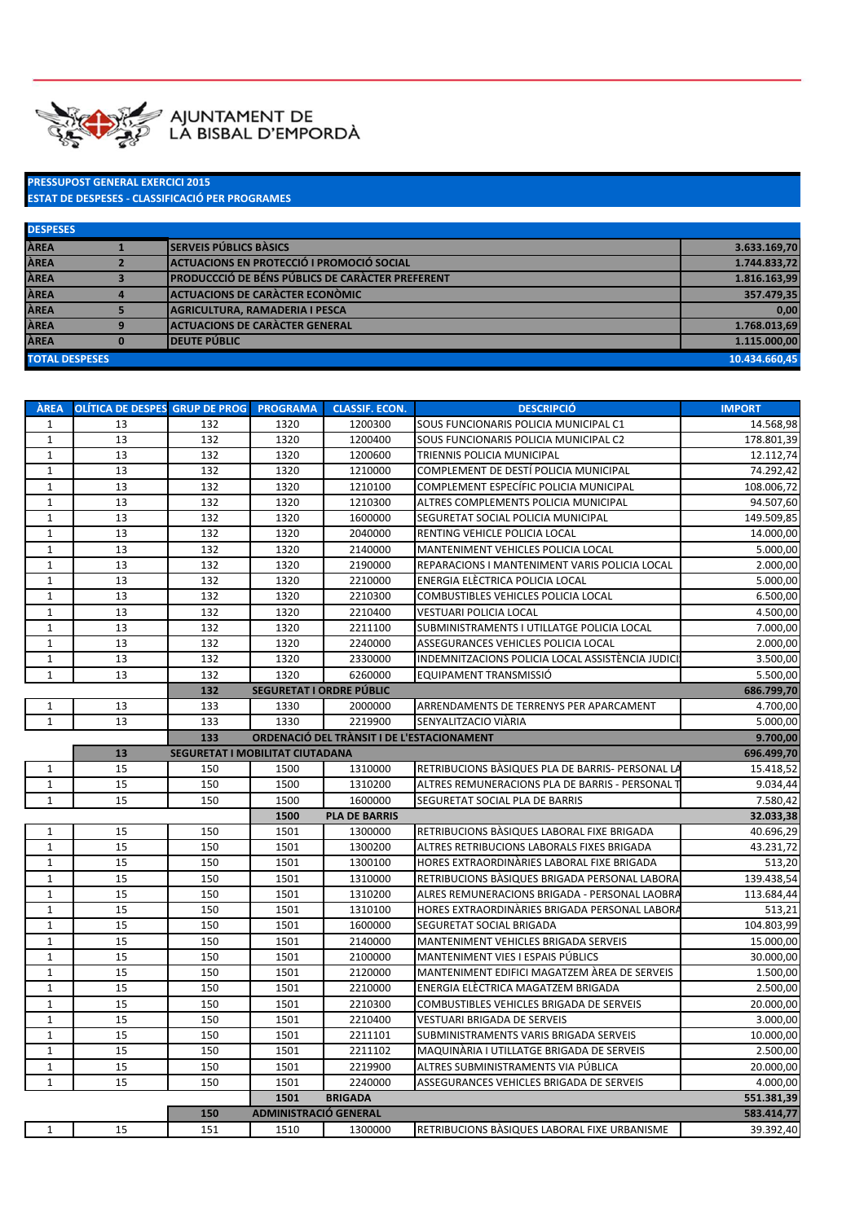

## PRESSUPOST GENERAL EXERCICI 2015 ESTAT DE DESPESES - CLASSIFICACIÓ PER PROGRAMES

| <b>DESPESES</b>       |                                                          |               |
|-----------------------|----------------------------------------------------------|---------------|
| <b>ÀREA</b>           | <b>SERVEIS PÚBLICS BASICS</b>                            | 3.633.169,70  |
| ÀREA                  | <b>ACTUACIONS EN PROTECCIÓ I PROMOCIÓ SOCIAL</b>         | 1.744.833,72  |
| <b>ÀREA</b>           | <b>IPRODUCCCIÓ DE BÉNS PÚBLICS DE CARACTER PREFERENT</b> | 1.816.163,99  |
| <b>ÀREA</b>           | <b>ACTUACIONS DE CARACTER ECONÒMIC</b>                   | 357.479,35    |
| <b>ÀREA</b>           | <b>AGRICULTURA. RAMADERIA I PESCA</b>                    | 0,00          |
| ÀREA                  | <b>ACTUACIONS DE CARACTER GENERAL</b>                    | 1.768.013,69  |
| <b>ÀREA</b>           | <b>DEUTE PÚBLIC</b>                                      | 1.115.000.00  |
| <b>TOTAL DESPESES</b> |                                                          | 10.434.660.45 |

| SOUS FUNCIONARIS POLICIA MUNICIPAL C1<br>1<br>13<br>132<br>1320<br>1200300<br>$\mathbf{1}$<br>13<br>132<br>1320<br>1200400<br>SOUS FUNCIONARIS POLICIA MUNICIPAL C2<br>13<br>132<br>$\mathbf{1}$<br>1320<br>1200600<br>TRIENNIS POLICIA MUNICIPAL<br>$1\,$<br>13<br>1320<br>COMPLEMENT DE DESTÍ POLICIA MUNICIPAL<br>132<br>1210000<br>13<br>132<br>1320<br>$\mathbf{1}$<br>1210100<br>COMPLEMENT ESPECÍFIC POLICIA MUNICIPAL<br>13<br>$\mathbf{1}$<br>132<br>1320<br>1210300<br>ALTRES COMPLEMENTS POLICIA MUNICIPAL<br>13<br>132<br>1320<br>$\mathbf{1}$<br>1600000<br>SEGURETAT SOCIAL POLICIA MUNICIPAL<br>$\mathbf{1}$<br>13<br>132<br>1320<br>2040000<br>RENTING VEHICLE POLICIA LOCAL<br>$\mathbf{1}$<br>13<br>1320<br>MANTENIMENT VEHICLES POLICIA LOCAL<br>132<br>2140000<br>$\mathbf{1}$<br>13<br>132<br>1320<br>2190000<br>REPARACIONS I MANTENIMENT VARIS POLICIA LOCAL<br>$\mathbf{1}$<br>13<br>132<br>1320<br>ENERGIA ELECTRICA POLICIA LOCAL<br>2210000<br>13<br>132<br>1320<br>$\mathbf{1}$<br>2210300<br>COMBUSTIBLES VEHICLES POLICIA LOCAL<br>$\mathbf{1}$<br>13<br>132<br>1320<br>2210400<br><b>VESTUARI POLICIA LOCAL</b><br>$\mathbf{1}$<br>13<br>7.000,00<br>132<br>1320<br>2211100<br>SUBMINISTRAMENTS I UTILLATGE POLICIA LOCAL<br>$\mathbf 1$<br>13<br>132<br>1320<br>ASSEGURANCES VEHICLES POLICIA LOCAL<br>2240000<br>$\mathbf{1}$<br>13<br>132<br>1320<br>INDEMNITZACIONS POLICIA LOCAL ASSISTÈNCIA JUDICI<br>2330000<br>$\mathbf{1}$<br>13<br>132<br>1320<br>EQUIPAMENT TRANSMISSIÓ<br>5.500,00<br>6260000<br>132<br>SEGURETAT I ORDRE PÚBLIC<br>686.799,70<br>$\mathbf{1}$<br>13<br>133<br>1330<br>2000000<br>ARRENDAMENTS DE TERRENYS PER APARCAMENT<br>$\mathbf{1}$<br>13<br>133<br>1330<br>2219900<br>SENYALITZACIO VIÀRIA<br>5.000,00<br>133<br>ORDENACIÓ DEL TRÀNSIT I DE L'ESTACIONAMENT<br>9.700,00<br>13<br>SEGURETAT I MOBILITAT CIUTADANA<br>696.499,70<br>15<br>1310000<br>RETRIBUCIONS BASIQUES PLA DE BARRIS- PERSONAL LA<br>15.418,52<br>150<br>1500<br>1<br>15<br>$\mathbf{1}$<br>150<br>1500<br>1310200<br>ALTRES REMUNERACIONS PLA DE BARRIS - PERSONAL T<br>9.034,44<br>15<br>1500<br>$\mathbf{1}$<br>150<br>1600000<br>SEGURETAT SOCIAL PLA DE BARRIS<br>7.580,42<br>1500<br><b>PLA DE BARRIS</b><br>32.033,38<br>15<br>150<br>1501<br>40.696,29<br>$\mathbf{1}$<br>1300000<br>RETRIBUCIONS BASIQUES LABORAL FIXE BRIGADA<br>$\mathbf{1}$<br>15<br>150<br>1501<br>1300200<br>ALTRES RETRIBUCIONS LABORALS FIXES BRIGADA<br>43.231,72<br>15<br>150<br>1501<br>$\mathbf{1}$<br>HORES EXTRAORDINARIES LABORAL FIXE BRIGADA<br>513,20<br>1300100<br>$1\,$<br>15<br>150<br>1501<br>RETRIBUCIONS BASIQUES BRIGADA PERSONAL LABORA<br>139.438,54<br>1310000<br>$\mathbf{1}$<br>15<br>1501<br>ALRES REMUNERACIONS BRIGADA - PERSONAL LAOBRA<br>113.684,44<br>150<br>1310200<br>15<br>$\mathbf{1}$<br>150<br>1501<br>1310100<br>HORES EXTRAORDINARIES BRIGADA PERSONAL LABORA<br>513,21<br>$\mathbf{1}$<br>15<br>150<br>1501<br>1600000<br>SEGURETAT SOCIAL BRIGADA<br>104.803,99<br>15<br>150<br>1501<br>$\mathbf{1}$<br>2140000<br>MANTENIMENT VEHICLES BRIGADA SERVEIS<br>15.000,00<br>15<br>$\mathbf{1}$<br>150<br>1501<br>MANTENIMENT VIES I ESPAIS PÚBLICS<br>30.000,00<br>2100000<br>$\mathbf{1}$<br>15<br>150<br>1501<br>2120000<br>MANTENIMENT EDIFICI MAGATZEM AREA DE SERVEIS<br>1.500,00<br>$\mathbf{1}$<br>15<br>150<br>1501<br>2210000<br>ENERGIA ELÈCTRICA MAGATZEM BRIGADA<br>2.500,00<br>$1\,$<br>15<br>1501<br>150<br>2210300<br>COMBUSTIBLES VEHICLES BRIGADA DE SERVEIS<br>20.000,00<br>15<br>150<br>1501<br>$\mathbf{1}$<br>2210400<br><b>VESTUARI BRIGADA DE SERVEIS</b><br>3.000,00<br>15<br>$\mathbf{1}$<br>150<br>1501<br>10.000,00<br>2211101<br>SUBMINISTRAMENTS VARIS BRIGADA SERVEIS<br>15<br>$\mathbf{1}$<br>150<br>1501<br>2211102<br>MAQUINÀRIA I UTILLATGE BRIGADA DE SERVEIS<br>2.500,00<br>$\mathbf{1}$<br>15<br>150<br>1501<br>2219900<br>20.000,00<br>ALTRES SUBMINISTRAMENTS VIA PÚBLICA<br>$\mathbf{1}$<br>15<br>150<br>1501<br>2240000<br>ASSEGURANCES VEHICLES BRIGADA DE SERVEIS<br>4.000,00<br>1501<br><b>BRIGADA</b><br>551.381,39<br>150<br><b>ADMINISTRACIÓ GENERAL</b><br>583.414,77 | <b>AREA</b>  | OLÍTICA DE DESPES GRUP DE PROG |     | <b>PROGRAMA</b> | <b>CLASSIF. ECON.</b> | <b>DESCRIPCIÓ</b>                            | <b>IMPORT</b> |
|------------------------------------------------------------------------------------------------------------------------------------------------------------------------------------------------------------------------------------------------------------------------------------------------------------------------------------------------------------------------------------------------------------------------------------------------------------------------------------------------------------------------------------------------------------------------------------------------------------------------------------------------------------------------------------------------------------------------------------------------------------------------------------------------------------------------------------------------------------------------------------------------------------------------------------------------------------------------------------------------------------------------------------------------------------------------------------------------------------------------------------------------------------------------------------------------------------------------------------------------------------------------------------------------------------------------------------------------------------------------------------------------------------------------------------------------------------------------------------------------------------------------------------------------------------------------------------------------------------------------------------------------------------------------------------------------------------------------------------------------------------------------------------------------------------------------------------------------------------------------------------------------------------------------------------------------------------------------------------------------------------------------------------------------------------------------------------------------------------------------------------------------------------------------------------------------------------------------------------------------------------------------------------------------------------------------------------------------------------------------------------------------------------------------------------------------------------------------------------------------------------------------------------------------------------------------------------------------------------------------------------------------------------------------------------------------------------------------------------------------------------------------------------------------------------------------------------------------------------------------------------------------------------------------------------------------------------------------------------------------------------------------------------------------------------------------------------------------------------------------------------------------------------------------------------------------------------------------------------------------------------------------------------------------------------------------------------------------------------------------------------------------------------------------------------------------------------------------------------------------------------------------------------------------------------------------------------------------------------------------------------------------------------------------------------------------------------------------------------------------------------------------------------------------------------------------------------------------------------------------------------------------------------------------------------------------------------------------------------------------------------------------------------------------------------------------------------------------------------------------------------------------------------------------------|--------------|--------------------------------|-----|-----------------|-----------------------|----------------------------------------------|---------------|
|                                                                                                                                                                                                                                                                                                                                                                                                                                                                                                                                                                                                                                                                                                                                                                                                                                                                                                                                                                                                                                                                                                                                                                                                                                                                                                                                                                                                                                                                                                                                                                                                                                                                                                                                                                                                                                                                                                                                                                                                                                                                                                                                                                                                                                                                                                                                                                                                                                                                                                                                                                                                                                                                                                                                                                                                                                                                                                                                                                                                                                                                                                                                                                                                                                                                                                                                                                                                                                                                                                                                                                                                                                                                                                                                                                                                                                                                                                                                                                                                                                                                                                                                                                              |              |                                |     |                 |                       |                                              | 14.568,98     |
|                                                                                                                                                                                                                                                                                                                                                                                                                                                                                                                                                                                                                                                                                                                                                                                                                                                                                                                                                                                                                                                                                                                                                                                                                                                                                                                                                                                                                                                                                                                                                                                                                                                                                                                                                                                                                                                                                                                                                                                                                                                                                                                                                                                                                                                                                                                                                                                                                                                                                                                                                                                                                                                                                                                                                                                                                                                                                                                                                                                                                                                                                                                                                                                                                                                                                                                                                                                                                                                                                                                                                                                                                                                                                                                                                                                                                                                                                                                                                                                                                                                                                                                                                                              |              |                                |     |                 |                       |                                              | 178.801,39    |
|                                                                                                                                                                                                                                                                                                                                                                                                                                                                                                                                                                                                                                                                                                                                                                                                                                                                                                                                                                                                                                                                                                                                                                                                                                                                                                                                                                                                                                                                                                                                                                                                                                                                                                                                                                                                                                                                                                                                                                                                                                                                                                                                                                                                                                                                                                                                                                                                                                                                                                                                                                                                                                                                                                                                                                                                                                                                                                                                                                                                                                                                                                                                                                                                                                                                                                                                                                                                                                                                                                                                                                                                                                                                                                                                                                                                                                                                                                                                                                                                                                                                                                                                                                              |              |                                |     |                 |                       |                                              | 12.112,74     |
|                                                                                                                                                                                                                                                                                                                                                                                                                                                                                                                                                                                                                                                                                                                                                                                                                                                                                                                                                                                                                                                                                                                                                                                                                                                                                                                                                                                                                                                                                                                                                                                                                                                                                                                                                                                                                                                                                                                                                                                                                                                                                                                                                                                                                                                                                                                                                                                                                                                                                                                                                                                                                                                                                                                                                                                                                                                                                                                                                                                                                                                                                                                                                                                                                                                                                                                                                                                                                                                                                                                                                                                                                                                                                                                                                                                                                                                                                                                                                                                                                                                                                                                                                                              |              |                                |     |                 |                       |                                              | 74.292,42     |
|                                                                                                                                                                                                                                                                                                                                                                                                                                                                                                                                                                                                                                                                                                                                                                                                                                                                                                                                                                                                                                                                                                                                                                                                                                                                                                                                                                                                                                                                                                                                                                                                                                                                                                                                                                                                                                                                                                                                                                                                                                                                                                                                                                                                                                                                                                                                                                                                                                                                                                                                                                                                                                                                                                                                                                                                                                                                                                                                                                                                                                                                                                                                                                                                                                                                                                                                                                                                                                                                                                                                                                                                                                                                                                                                                                                                                                                                                                                                                                                                                                                                                                                                                                              |              |                                |     |                 |                       |                                              | 108.006,72    |
|                                                                                                                                                                                                                                                                                                                                                                                                                                                                                                                                                                                                                                                                                                                                                                                                                                                                                                                                                                                                                                                                                                                                                                                                                                                                                                                                                                                                                                                                                                                                                                                                                                                                                                                                                                                                                                                                                                                                                                                                                                                                                                                                                                                                                                                                                                                                                                                                                                                                                                                                                                                                                                                                                                                                                                                                                                                                                                                                                                                                                                                                                                                                                                                                                                                                                                                                                                                                                                                                                                                                                                                                                                                                                                                                                                                                                                                                                                                                                                                                                                                                                                                                                                              |              |                                |     |                 |                       |                                              | 94.507,60     |
|                                                                                                                                                                                                                                                                                                                                                                                                                                                                                                                                                                                                                                                                                                                                                                                                                                                                                                                                                                                                                                                                                                                                                                                                                                                                                                                                                                                                                                                                                                                                                                                                                                                                                                                                                                                                                                                                                                                                                                                                                                                                                                                                                                                                                                                                                                                                                                                                                                                                                                                                                                                                                                                                                                                                                                                                                                                                                                                                                                                                                                                                                                                                                                                                                                                                                                                                                                                                                                                                                                                                                                                                                                                                                                                                                                                                                                                                                                                                                                                                                                                                                                                                                                              |              |                                |     |                 |                       |                                              | 149.509,85    |
|                                                                                                                                                                                                                                                                                                                                                                                                                                                                                                                                                                                                                                                                                                                                                                                                                                                                                                                                                                                                                                                                                                                                                                                                                                                                                                                                                                                                                                                                                                                                                                                                                                                                                                                                                                                                                                                                                                                                                                                                                                                                                                                                                                                                                                                                                                                                                                                                                                                                                                                                                                                                                                                                                                                                                                                                                                                                                                                                                                                                                                                                                                                                                                                                                                                                                                                                                                                                                                                                                                                                                                                                                                                                                                                                                                                                                                                                                                                                                                                                                                                                                                                                                                              |              |                                |     |                 |                       |                                              | 14.000,00     |
|                                                                                                                                                                                                                                                                                                                                                                                                                                                                                                                                                                                                                                                                                                                                                                                                                                                                                                                                                                                                                                                                                                                                                                                                                                                                                                                                                                                                                                                                                                                                                                                                                                                                                                                                                                                                                                                                                                                                                                                                                                                                                                                                                                                                                                                                                                                                                                                                                                                                                                                                                                                                                                                                                                                                                                                                                                                                                                                                                                                                                                                                                                                                                                                                                                                                                                                                                                                                                                                                                                                                                                                                                                                                                                                                                                                                                                                                                                                                                                                                                                                                                                                                                                              |              |                                |     |                 |                       |                                              | 5.000,00      |
|                                                                                                                                                                                                                                                                                                                                                                                                                                                                                                                                                                                                                                                                                                                                                                                                                                                                                                                                                                                                                                                                                                                                                                                                                                                                                                                                                                                                                                                                                                                                                                                                                                                                                                                                                                                                                                                                                                                                                                                                                                                                                                                                                                                                                                                                                                                                                                                                                                                                                                                                                                                                                                                                                                                                                                                                                                                                                                                                                                                                                                                                                                                                                                                                                                                                                                                                                                                                                                                                                                                                                                                                                                                                                                                                                                                                                                                                                                                                                                                                                                                                                                                                                                              |              |                                |     |                 |                       |                                              | 2.000,00      |
|                                                                                                                                                                                                                                                                                                                                                                                                                                                                                                                                                                                                                                                                                                                                                                                                                                                                                                                                                                                                                                                                                                                                                                                                                                                                                                                                                                                                                                                                                                                                                                                                                                                                                                                                                                                                                                                                                                                                                                                                                                                                                                                                                                                                                                                                                                                                                                                                                                                                                                                                                                                                                                                                                                                                                                                                                                                                                                                                                                                                                                                                                                                                                                                                                                                                                                                                                                                                                                                                                                                                                                                                                                                                                                                                                                                                                                                                                                                                                                                                                                                                                                                                                                              |              |                                |     |                 |                       |                                              | 5.000,00      |
|                                                                                                                                                                                                                                                                                                                                                                                                                                                                                                                                                                                                                                                                                                                                                                                                                                                                                                                                                                                                                                                                                                                                                                                                                                                                                                                                                                                                                                                                                                                                                                                                                                                                                                                                                                                                                                                                                                                                                                                                                                                                                                                                                                                                                                                                                                                                                                                                                                                                                                                                                                                                                                                                                                                                                                                                                                                                                                                                                                                                                                                                                                                                                                                                                                                                                                                                                                                                                                                                                                                                                                                                                                                                                                                                                                                                                                                                                                                                                                                                                                                                                                                                                                              |              |                                |     |                 |                       |                                              | 6.500,00      |
|                                                                                                                                                                                                                                                                                                                                                                                                                                                                                                                                                                                                                                                                                                                                                                                                                                                                                                                                                                                                                                                                                                                                                                                                                                                                                                                                                                                                                                                                                                                                                                                                                                                                                                                                                                                                                                                                                                                                                                                                                                                                                                                                                                                                                                                                                                                                                                                                                                                                                                                                                                                                                                                                                                                                                                                                                                                                                                                                                                                                                                                                                                                                                                                                                                                                                                                                                                                                                                                                                                                                                                                                                                                                                                                                                                                                                                                                                                                                                                                                                                                                                                                                                                              |              |                                |     |                 |                       |                                              | 4.500,00      |
|                                                                                                                                                                                                                                                                                                                                                                                                                                                                                                                                                                                                                                                                                                                                                                                                                                                                                                                                                                                                                                                                                                                                                                                                                                                                                                                                                                                                                                                                                                                                                                                                                                                                                                                                                                                                                                                                                                                                                                                                                                                                                                                                                                                                                                                                                                                                                                                                                                                                                                                                                                                                                                                                                                                                                                                                                                                                                                                                                                                                                                                                                                                                                                                                                                                                                                                                                                                                                                                                                                                                                                                                                                                                                                                                                                                                                                                                                                                                                                                                                                                                                                                                                                              |              |                                |     |                 |                       |                                              |               |
|                                                                                                                                                                                                                                                                                                                                                                                                                                                                                                                                                                                                                                                                                                                                                                                                                                                                                                                                                                                                                                                                                                                                                                                                                                                                                                                                                                                                                                                                                                                                                                                                                                                                                                                                                                                                                                                                                                                                                                                                                                                                                                                                                                                                                                                                                                                                                                                                                                                                                                                                                                                                                                                                                                                                                                                                                                                                                                                                                                                                                                                                                                                                                                                                                                                                                                                                                                                                                                                                                                                                                                                                                                                                                                                                                                                                                                                                                                                                                                                                                                                                                                                                                                              |              |                                |     |                 |                       |                                              | 2.000,00      |
|                                                                                                                                                                                                                                                                                                                                                                                                                                                                                                                                                                                                                                                                                                                                                                                                                                                                                                                                                                                                                                                                                                                                                                                                                                                                                                                                                                                                                                                                                                                                                                                                                                                                                                                                                                                                                                                                                                                                                                                                                                                                                                                                                                                                                                                                                                                                                                                                                                                                                                                                                                                                                                                                                                                                                                                                                                                                                                                                                                                                                                                                                                                                                                                                                                                                                                                                                                                                                                                                                                                                                                                                                                                                                                                                                                                                                                                                                                                                                                                                                                                                                                                                                                              |              |                                |     |                 |                       |                                              | 3.500,00      |
|                                                                                                                                                                                                                                                                                                                                                                                                                                                                                                                                                                                                                                                                                                                                                                                                                                                                                                                                                                                                                                                                                                                                                                                                                                                                                                                                                                                                                                                                                                                                                                                                                                                                                                                                                                                                                                                                                                                                                                                                                                                                                                                                                                                                                                                                                                                                                                                                                                                                                                                                                                                                                                                                                                                                                                                                                                                                                                                                                                                                                                                                                                                                                                                                                                                                                                                                                                                                                                                                                                                                                                                                                                                                                                                                                                                                                                                                                                                                                                                                                                                                                                                                                                              |              |                                |     |                 |                       |                                              |               |
|                                                                                                                                                                                                                                                                                                                                                                                                                                                                                                                                                                                                                                                                                                                                                                                                                                                                                                                                                                                                                                                                                                                                                                                                                                                                                                                                                                                                                                                                                                                                                                                                                                                                                                                                                                                                                                                                                                                                                                                                                                                                                                                                                                                                                                                                                                                                                                                                                                                                                                                                                                                                                                                                                                                                                                                                                                                                                                                                                                                                                                                                                                                                                                                                                                                                                                                                                                                                                                                                                                                                                                                                                                                                                                                                                                                                                                                                                                                                                                                                                                                                                                                                                                              |              |                                |     |                 |                       |                                              |               |
|                                                                                                                                                                                                                                                                                                                                                                                                                                                                                                                                                                                                                                                                                                                                                                                                                                                                                                                                                                                                                                                                                                                                                                                                                                                                                                                                                                                                                                                                                                                                                                                                                                                                                                                                                                                                                                                                                                                                                                                                                                                                                                                                                                                                                                                                                                                                                                                                                                                                                                                                                                                                                                                                                                                                                                                                                                                                                                                                                                                                                                                                                                                                                                                                                                                                                                                                                                                                                                                                                                                                                                                                                                                                                                                                                                                                                                                                                                                                                                                                                                                                                                                                                                              |              |                                |     |                 |                       |                                              | 4.700,00      |
|                                                                                                                                                                                                                                                                                                                                                                                                                                                                                                                                                                                                                                                                                                                                                                                                                                                                                                                                                                                                                                                                                                                                                                                                                                                                                                                                                                                                                                                                                                                                                                                                                                                                                                                                                                                                                                                                                                                                                                                                                                                                                                                                                                                                                                                                                                                                                                                                                                                                                                                                                                                                                                                                                                                                                                                                                                                                                                                                                                                                                                                                                                                                                                                                                                                                                                                                                                                                                                                                                                                                                                                                                                                                                                                                                                                                                                                                                                                                                                                                                                                                                                                                                                              |              |                                |     |                 |                       |                                              |               |
|                                                                                                                                                                                                                                                                                                                                                                                                                                                                                                                                                                                                                                                                                                                                                                                                                                                                                                                                                                                                                                                                                                                                                                                                                                                                                                                                                                                                                                                                                                                                                                                                                                                                                                                                                                                                                                                                                                                                                                                                                                                                                                                                                                                                                                                                                                                                                                                                                                                                                                                                                                                                                                                                                                                                                                                                                                                                                                                                                                                                                                                                                                                                                                                                                                                                                                                                                                                                                                                                                                                                                                                                                                                                                                                                                                                                                                                                                                                                                                                                                                                                                                                                                                              |              |                                |     |                 |                       |                                              |               |
|                                                                                                                                                                                                                                                                                                                                                                                                                                                                                                                                                                                                                                                                                                                                                                                                                                                                                                                                                                                                                                                                                                                                                                                                                                                                                                                                                                                                                                                                                                                                                                                                                                                                                                                                                                                                                                                                                                                                                                                                                                                                                                                                                                                                                                                                                                                                                                                                                                                                                                                                                                                                                                                                                                                                                                                                                                                                                                                                                                                                                                                                                                                                                                                                                                                                                                                                                                                                                                                                                                                                                                                                                                                                                                                                                                                                                                                                                                                                                                                                                                                                                                                                                                              |              |                                |     |                 |                       |                                              |               |
|                                                                                                                                                                                                                                                                                                                                                                                                                                                                                                                                                                                                                                                                                                                                                                                                                                                                                                                                                                                                                                                                                                                                                                                                                                                                                                                                                                                                                                                                                                                                                                                                                                                                                                                                                                                                                                                                                                                                                                                                                                                                                                                                                                                                                                                                                                                                                                                                                                                                                                                                                                                                                                                                                                                                                                                                                                                                                                                                                                                                                                                                                                                                                                                                                                                                                                                                                                                                                                                                                                                                                                                                                                                                                                                                                                                                                                                                                                                                                                                                                                                                                                                                                                              |              |                                |     |                 |                       |                                              |               |
|                                                                                                                                                                                                                                                                                                                                                                                                                                                                                                                                                                                                                                                                                                                                                                                                                                                                                                                                                                                                                                                                                                                                                                                                                                                                                                                                                                                                                                                                                                                                                                                                                                                                                                                                                                                                                                                                                                                                                                                                                                                                                                                                                                                                                                                                                                                                                                                                                                                                                                                                                                                                                                                                                                                                                                                                                                                                                                                                                                                                                                                                                                                                                                                                                                                                                                                                                                                                                                                                                                                                                                                                                                                                                                                                                                                                                                                                                                                                                                                                                                                                                                                                                                              |              |                                |     |                 |                       |                                              |               |
|                                                                                                                                                                                                                                                                                                                                                                                                                                                                                                                                                                                                                                                                                                                                                                                                                                                                                                                                                                                                                                                                                                                                                                                                                                                                                                                                                                                                                                                                                                                                                                                                                                                                                                                                                                                                                                                                                                                                                                                                                                                                                                                                                                                                                                                                                                                                                                                                                                                                                                                                                                                                                                                                                                                                                                                                                                                                                                                                                                                                                                                                                                                                                                                                                                                                                                                                                                                                                                                                                                                                                                                                                                                                                                                                                                                                                                                                                                                                                                                                                                                                                                                                                                              |              |                                |     |                 |                       |                                              |               |
|                                                                                                                                                                                                                                                                                                                                                                                                                                                                                                                                                                                                                                                                                                                                                                                                                                                                                                                                                                                                                                                                                                                                                                                                                                                                                                                                                                                                                                                                                                                                                                                                                                                                                                                                                                                                                                                                                                                                                                                                                                                                                                                                                                                                                                                                                                                                                                                                                                                                                                                                                                                                                                                                                                                                                                                                                                                                                                                                                                                                                                                                                                                                                                                                                                                                                                                                                                                                                                                                                                                                                                                                                                                                                                                                                                                                                                                                                                                                                                                                                                                                                                                                                                              |              |                                |     |                 |                       |                                              |               |
|                                                                                                                                                                                                                                                                                                                                                                                                                                                                                                                                                                                                                                                                                                                                                                                                                                                                                                                                                                                                                                                                                                                                                                                                                                                                                                                                                                                                                                                                                                                                                                                                                                                                                                                                                                                                                                                                                                                                                                                                                                                                                                                                                                                                                                                                                                                                                                                                                                                                                                                                                                                                                                                                                                                                                                                                                                                                                                                                                                                                                                                                                                                                                                                                                                                                                                                                                                                                                                                                                                                                                                                                                                                                                                                                                                                                                                                                                                                                                                                                                                                                                                                                                                              |              |                                |     |                 |                       |                                              |               |
|                                                                                                                                                                                                                                                                                                                                                                                                                                                                                                                                                                                                                                                                                                                                                                                                                                                                                                                                                                                                                                                                                                                                                                                                                                                                                                                                                                                                                                                                                                                                                                                                                                                                                                                                                                                                                                                                                                                                                                                                                                                                                                                                                                                                                                                                                                                                                                                                                                                                                                                                                                                                                                                                                                                                                                                                                                                                                                                                                                                                                                                                                                                                                                                                                                                                                                                                                                                                                                                                                                                                                                                                                                                                                                                                                                                                                                                                                                                                                                                                                                                                                                                                                                              |              |                                |     |                 |                       |                                              |               |
|                                                                                                                                                                                                                                                                                                                                                                                                                                                                                                                                                                                                                                                                                                                                                                                                                                                                                                                                                                                                                                                                                                                                                                                                                                                                                                                                                                                                                                                                                                                                                                                                                                                                                                                                                                                                                                                                                                                                                                                                                                                                                                                                                                                                                                                                                                                                                                                                                                                                                                                                                                                                                                                                                                                                                                                                                                                                                                                                                                                                                                                                                                                                                                                                                                                                                                                                                                                                                                                                                                                                                                                                                                                                                                                                                                                                                                                                                                                                                                                                                                                                                                                                                                              |              |                                |     |                 |                       |                                              |               |
|                                                                                                                                                                                                                                                                                                                                                                                                                                                                                                                                                                                                                                                                                                                                                                                                                                                                                                                                                                                                                                                                                                                                                                                                                                                                                                                                                                                                                                                                                                                                                                                                                                                                                                                                                                                                                                                                                                                                                                                                                                                                                                                                                                                                                                                                                                                                                                                                                                                                                                                                                                                                                                                                                                                                                                                                                                                                                                                                                                                                                                                                                                                                                                                                                                                                                                                                                                                                                                                                                                                                                                                                                                                                                                                                                                                                                                                                                                                                                                                                                                                                                                                                                                              |              |                                |     |                 |                       |                                              |               |
|                                                                                                                                                                                                                                                                                                                                                                                                                                                                                                                                                                                                                                                                                                                                                                                                                                                                                                                                                                                                                                                                                                                                                                                                                                                                                                                                                                                                                                                                                                                                                                                                                                                                                                                                                                                                                                                                                                                                                                                                                                                                                                                                                                                                                                                                                                                                                                                                                                                                                                                                                                                                                                                                                                                                                                                                                                                                                                                                                                                                                                                                                                                                                                                                                                                                                                                                                                                                                                                                                                                                                                                                                                                                                                                                                                                                                                                                                                                                                                                                                                                                                                                                                                              |              |                                |     |                 |                       |                                              |               |
|                                                                                                                                                                                                                                                                                                                                                                                                                                                                                                                                                                                                                                                                                                                                                                                                                                                                                                                                                                                                                                                                                                                                                                                                                                                                                                                                                                                                                                                                                                                                                                                                                                                                                                                                                                                                                                                                                                                                                                                                                                                                                                                                                                                                                                                                                                                                                                                                                                                                                                                                                                                                                                                                                                                                                                                                                                                                                                                                                                                                                                                                                                                                                                                                                                                                                                                                                                                                                                                                                                                                                                                                                                                                                                                                                                                                                                                                                                                                                                                                                                                                                                                                                                              |              |                                |     |                 |                       |                                              |               |
|                                                                                                                                                                                                                                                                                                                                                                                                                                                                                                                                                                                                                                                                                                                                                                                                                                                                                                                                                                                                                                                                                                                                                                                                                                                                                                                                                                                                                                                                                                                                                                                                                                                                                                                                                                                                                                                                                                                                                                                                                                                                                                                                                                                                                                                                                                                                                                                                                                                                                                                                                                                                                                                                                                                                                                                                                                                                                                                                                                                                                                                                                                                                                                                                                                                                                                                                                                                                                                                                                                                                                                                                                                                                                                                                                                                                                                                                                                                                                                                                                                                                                                                                                                              |              |                                |     |                 |                       |                                              |               |
|                                                                                                                                                                                                                                                                                                                                                                                                                                                                                                                                                                                                                                                                                                                                                                                                                                                                                                                                                                                                                                                                                                                                                                                                                                                                                                                                                                                                                                                                                                                                                                                                                                                                                                                                                                                                                                                                                                                                                                                                                                                                                                                                                                                                                                                                                                                                                                                                                                                                                                                                                                                                                                                                                                                                                                                                                                                                                                                                                                                                                                                                                                                                                                                                                                                                                                                                                                                                                                                                                                                                                                                                                                                                                                                                                                                                                                                                                                                                                                                                                                                                                                                                                                              |              |                                |     |                 |                       |                                              |               |
|                                                                                                                                                                                                                                                                                                                                                                                                                                                                                                                                                                                                                                                                                                                                                                                                                                                                                                                                                                                                                                                                                                                                                                                                                                                                                                                                                                                                                                                                                                                                                                                                                                                                                                                                                                                                                                                                                                                                                                                                                                                                                                                                                                                                                                                                                                                                                                                                                                                                                                                                                                                                                                                                                                                                                                                                                                                                                                                                                                                                                                                                                                                                                                                                                                                                                                                                                                                                                                                                                                                                                                                                                                                                                                                                                                                                                                                                                                                                                                                                                                                                                                                                                                              |              |                                |     |                 |                       |                                              |               |
|                                                                                                                                                                                                                                                                                                                                                                                                                                                                                                                                                                                                                                                                                                                                                                                                                                                                                                                                                                                                                                                                                                                                                                                                                                                                                                                                                                                                                                                                                                                                                                                                                                                                                                                                                                                                                                                                                                                                                                                                                                                                                                                                                                                                                                                                                                                                                                                                                                                                                                                                                                                                                                                                                                                                                                                                                                                                                                                                                                                                                                                                                                                                                                                                                                                                                                                                                                                                                                                                                                                                                                                                                                                                                                                                                                                                                                                                                                                                                                                                                                                                                                                                                                              |              |                                |     |                 |                       |                                              |               |
|                                                                                                                                                                                                                                                                                                                                                                                                                                                                                                                                                                                                                                                                                                                                                                                                                                                                                                                                                                                                                                                                                                                                                                                                                                                                                                                                                                                                                                                                                                                                                                                                                                                                                                                                                                                                                                                                                                                                                                                                                                                                                                                                                                                                                                                                                                                                                                                                                                                                                                                                                                                                                                                                                                                                                                                                                                                                                                                                                                                                                                                                                                                                                                                                                                                                                                                                                                                                                                                                                                                                                                                                                                                                                                                                                                                                                                                                                                                                                                                                                                                                                                                                                                              |              |                                |     |                 |                       |                                              |               |
|                                                                                                                                                                                                                                                                                                                                                                                                                                                                                                                                                                                                                                                                                                                                                                                                                                                                                                                                                                                                                                                                                                                                                                                                                                                                                                                                                                                                                                                                                                                                                                                                                                                                                                                                                                                                                                                                                                                                                                                                                                                                                                                                                                                                                                                                                                                                                                                                                                                                                                                                                                                                                                                                                                                                                                                                                                                                                                                                                                                                                                                                                                                                                                                                                                                                                                                                                                                                                                                                                                                                                                                                                                                                                                                                                                                                                                                                                                                                                                                                                                                                                                                                                                              |              |                                |     |                 |                       |                                              |               |
|                                                                                                                                                                                                                                                                                                                                                                                                                                                                                                                                                                                                                                                                                                                                                                                                                                                                                                                                                                                                                                                                                                                                                                                                                                                                                                                                                                                                                                                                                                                                                                                                                                                                                                                                                                                                                                                                                                                                                                                                                                                                                                                                                                                                                                                                                                                                                                                                                                                                                                                                                                                                                                                                                                                                                                                                                                                                                                                                                                                                                                                                                                                                                                                                                                                                                                                                                                                                                                                                                                                                                                                                                                                                                                                                                                                                                                                                                                                                                                                                                                                                                                                                                                              |              |                                |     |                 |                       |                                              |               |
|                                                                                                                                                                                                                                                                                                                                                                                                                                                                                                                                                                                                                                                                                                                                                                                                                                                                                                                                                                                                                                                                                                                                                                                                                                                                                                                                                                                                                                                                                                                                                                                                                                                                                                                                                                                                                                                                                                                                                                                                                                                                                                                                                                                                                                                                                                                                                                                                                                                                                                                                                                                                                                                                                                                                                                                                                                                                                                                                                                                                                                                                                                                                                                                                                                                                                                                                                                                                                                                                                                                                                                                                                                                                                                                                                                                                                                                                                                                                                                                                                                                                                                                                                                              |              |                                |     |                 |                       |                                              |               |
|                                                                                                                                                                                                                                                                                                                                                                                                                                                                                                                                                                                                                                                                                                                                                                                                                                                                                                                                                                                                                                                                                                                                                                                                                                                                                                                                                                                                                                                                                                                                                                                                                                                                                                                                                                                                                                                                                                                                                                                                                                                                                                                                                                                                                                                                                                                                                                                                                                                                                                                                                                                                                                                                                                                                                                                                                                                                                                                                                                                                                                                                                                                                                                                                                                                                                                                                                                                                                                                                                                                                                                                                                                                                                                                                                                                                                                                                                                                                                                                                                                                                                                                                                                              |              |                                |     |                 |                       |                                              |               |
|                                                                                                                                                                                                                                                                                                                                                                                                                                                                                                                                                                                                                                                                                                                                                                                                                                                                                                                                                                                                                                                                                                                                                                                                                                                                                                                                                                                                                                                                                                                                                                                                                                                                                                                                                                                                                                                                                                                                                                                                                                                                                                                                                                                                                                                                                                                                                                                                                                                                                                                                                                                                                                                                                                                                                                                                                                                                                                                                                                                                                                                                                                                                                                                                                                                                                                                                                                                                                                                                                                                                                                                                                                                                                                                                                                                                                                                                                                                                                                                                                                                                                                                                                                              |              |                                |     |                 |                       |                                              |               |
|                                                                                                                                                                                                                                                                                                                                                                                                                                                                                                                                                                                                                                                                                                                                                                                                                                                                                                                                                                                                                                                                                                                                                                                                                                                                                                                                                                                                                                                                                                                                                                                                                                                                                                                                                                                                                                                                                                                                                                                                                                                                                                                                                                                                                                                                                                                                                                                                                                                                                                                                                                                                                                                                                                                                                                                                                                                                                                                                                                                                                                                                                                                                                                                                                                                                                                                                                                                                                                                                                                                                                                                                                                                                                                                                                                                                                                                                                                                                                                                                                                                                                                                                                                              |              |                                |     |                 |                       |                                              |               |
|                                                                                                                                                                                                                                                                                                                                                                                                                                                                                                                                                                                                                                                                                                                                                                                                                                                                                                                                                                                                                                                                                                                                                                                                                                                                                                                                                                                                                                                                                                                                                                                                                                                                                                                                                                                                                                                                                                                                                                                                                                                                                                                                                                                                                                                                                                                                                                                                                                                                                                                                                                                                                                                                                                                                                                                                                                                                                                                                                                                                                                                                                                                                                                                                                                                                                                                                                                                                                                                                                                                                                                                                                                                                                                                                                                                                                                                                                                                                                                                                                                                                                                                                                                              |              |                                |     |                 |                       |                                              |               |
|                                                                                                                                                                                                                                                                                                                                                                                                                                                                                                                                                                                                                                                                                                                                                                                                                                                                                                                                                                                                                                                                                                                                                                                                                                                                                                                                                                                                                                                                                                                                                                                                                                                                                                                                                                                                                                                                                                                                                                                                                                                                                                                                                                                                                                                                                                                                                                                                                                                                                                                                                                                                                                                                                                                                                                                                                                                                                                                                                                                                                                                                                                                                                                                                                                                                                                                                                                                                                                                                                                                                                                                                                                                                                                                                                                                                                                                                                                                                                                                                                                                                                                                                                                              | $\mathbf{1}$ | 15                             | 151 | 1510            | 1300000               | RETRIBUCIONS BASIQUES LABORAL FIXE URBANISME | 39.392,40     |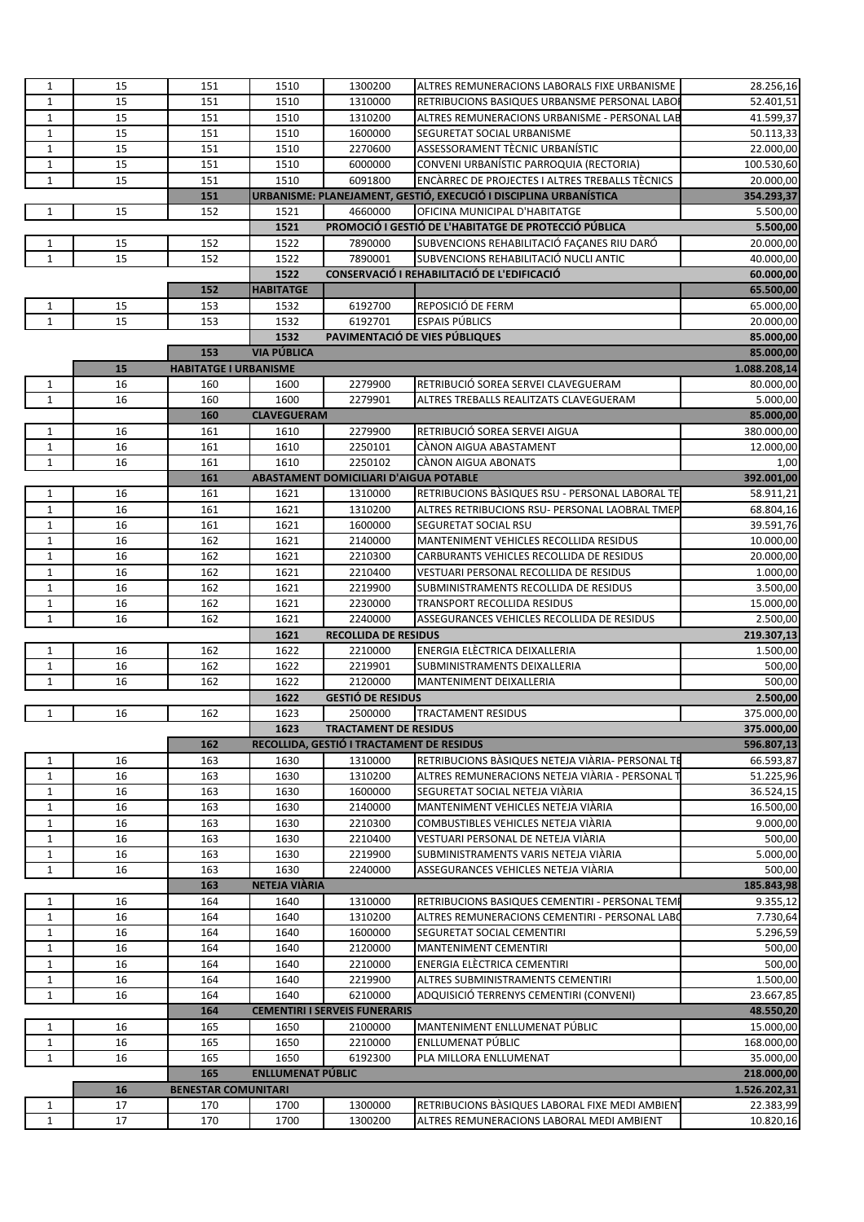| $\mathbf{1}$ | 15 | 151                          | 1510                     | 1300200                                       | ALTRES REMUNERACIONS LABORALS FIXE URBANISME                      | 28.256,16    |
|--------------|----|------------------------------|--------------------------|-----------------------------------------------|-------------------------------------------------------------------|--------------|
| $\mathbf{1}$ | 15 | 151                          | 1510                     | 1310000                                       | RETRIBUCIONS BASIQUES URBANSME PERSONAL LABOI                     | 52.401,51    |
| $\mathbf{1}$ | 15 | 151                          | 1510                     | 1310200                                       | ALTRES REMUNERACIONS URBANISME - PERSONAL LAB                     | 41.599,37    |
| $1\,$        | 15 | 151                          | 1510                     | 1600000                                       | SEGURETAT SOCIAL URBANISME                                        | 50.113,33    |
|              |    |                              |                          |                                               |                                                                   |              |
| $\mathbf{1}$ | 15 | 151                          | 1510                     | 2270600                                       | ASSESSORAMENT TÈCNIC URBANÍSTIC                                   | 22.000,00    |
| $\mathbf{1}$ | 15 | 151                          | 1510                     | 6000000                                       | CONVENI URBANÍSTIC PARROQUIA (RECTORIA)                           | 100.530,60   |
| $\mathbf{1}$ | 15 | 151                          | 1510                     | 6091800                                       | <b>ENCARREC DE PROJECTES I ALTRES TREBALLS TÈCNICS</b>            | 20.000,00    |
|              |    | 151                          |                          |                                               | URBANISME: PLANEJAMENT, GESTIÓ, EXECUCIÓ I DISCIPLINA URBANÍSTICA | 354.293,37   |
| $\mathbf{1}$ | 15 | 152                          | 1521                     | 4660000                                       | OFICINA MUNICIPAL D'HABITATGE                                     | 5.500,00     |
|              |    |                              | 1521                     |                                               | PROMOCIÓ I GESTIÓ DE L'HABITATGE DE PROTECCIÓ PÚBLICA             | 5.500,00     |
| 1            | 15 | 152                          | 1522                     | 7890000                                       | SUBVENCIONS REHABILITACIÓ FAÇANES RIU DARÓ                        | 20.000,00    |
| $\mathbf{1}$ | 15 | 152                          | 1522                     | 7890001                                       | SUBVENCIONS REHABILITACIÓ NUCLI ANTIC                             | 40.000,00    |
|              |    |                              | 1522                     |                                               | CONSERVACIÓ I REHABILITACIÓ DE L'EDIFICACIÓ                       | 60.000,00    |
|              |    | 152                          | <b>HABITATGE</b>         |                                               |                                                                   | 65.500,00    |
| 1            | 15 | 153                          | 1532                     | 6192700                                       | REPOSICIÓ DE FERM                                                 | 65.000,00    |
| $\mathbf{1}$ | 15 | 153                          | 1532                     | 6192701                                       | <b>ESPAIS PÚBLICS</b>                                             | 20.000,00    |
|              |    |                              | 1532                     |                                               | PAVIMENTACIÓ DE VIES PÚBLIQUES                                    | 85.000,00    |
|              |    | 153                          | <b>VIA PÚBLICA</b>       |                                               |                                                                   | 85.000,00    |
|              | 15 | <b>HABITATGE I URBANISME</b> |                          |                                               |                                                                   | 1.088.208,14 |
| $\mathbf{1}$ | 16 | 160                          | 1600                     | 2279900                                       | RETRIBUCIÓ SOREA SERVEI CLAVEGUERAM                               | 80.000,00    |
| $\mathbf{1}$ | 16 | 160                          | 1600                     | 2279901                                       | ALTRES TREBALLS REALITZATS CLAVEGUERAM                            | 5.000,00     |
|              |    | 160                          | <b>CLAVEGUERAM</b>       |                                               |                                                                   | 85.000,00    |
| $\mathbf{1}$ | 16 | 161                          | 1610                     | 2279900                                       | RETRIBUCIÓ SOREA SERVEI AIGUA                                     | 380.000,00   |
| $1\,$        | 16 | 161                          | 1610                     | 2250101                                       | CÀNON AIGUA ABASTAMENT                                            | 12.000,00    |
| $\mathbf{1}$ | 16 | 161                          | 1610                     | 2250102                                       | <b>CÀNON AIGUA ABONATS</b>                                        | 1,00         |
|              |    |                              |                          |                                               |                                                                   |              |
|              |    | 161                          |                          | <b>ABASTAMENT DOMICILIARI D'AIGUA POTABLE</b> |                                                                   | 392.001,00   |
| $\mathbf{1}$ | 16 | 161                          | 1621                     | 1310000                                       | RETRIBUCIONS BASIQUES RSU - PERSONAL LABORAL TE                   | 58.911,21    |
| $\mathbf{1}$ | 16 | 161                          | 1621                     | 1310200                                       | ALTRES RETRIBUCIONS RSU- PERSONAL LAOBRAL TMEP                    | 68.804,16    |
| $\mathbf{1}$ | 16 | 161                          | 1621                     | 1600000                                       | SEGURETAT SOCIAL RSU                                              | 39.591,76    |
| $\mathbf{1}$ | 16 | 162                          | 1621                     | 2140000                                       | MANTENIMENT VEHICLES RECOLLIDA RESIDUS                            | 10.000,00    |
| $\mathbf{1}$ | 16 | 162                          | 1621                     | 2210300                                       | CARBURANTS VEHICLES RECOLLIDA DE RESIDUS                          | 20.000,00    |
| $\mathbf{1}$ | 16 | 162                          | 1621                     | 2210400                                       | VESTUARI PERSONAL RECOLLIDA DE RESIDUS                            | 1.000,00     |
| $\mathbf{1}$ | 16 | 162                          | 1621                     | 2219900                                       | SUBMINISTRAMENTS RECOLLIDA DE RESIDUS                             | 3.500,00     |
| $1\,$        | 16 | 162                          | 1621                     | 2230000                                       | TRANSPORT RECOLLIDA RESIDUS                                       | 15.000,00    |
| $\mathbf{1}$ | 16 | 162                          | 1621                     | 2240000                                       | ASSEGURANCES VEHICLES RECOLLIDA DE RESIDUS                        | 2.500,00     |
|              |    |                              | 1621                     | <b>RECOLLIDA DE RESIDUS</b>                   |                                                                   | 219.307,13   |
| $\mathbf{1}$ | 16 | 162                          | 1622                     | 2210000                                       | ENERGIA ELECTRICA DEIXALLERIA                                     | 1.500,00     |
| $1\,$        | 16 | 162                          | 1622                     | 2219901                                       | SUBMINISTRAMENTS DEIXALLERIA                                      | 500,00       |
| $\mathbf{1}$ | 16 | 162                          | 1622                     | 2120000                                       | <b>MANTENIMENT DEIXALLERIA</b>                                    | 500,00       |
|              |    |                              | 1622                     | <b>GESTIÓ DE RESIDUS</b>                      |                                                                   | 2.500,00     |
| $\mathbf{1}$ | 16 | 162                          | 1623                     | 2500000                                       | <b>TRACTAMENT RESIDUS</b>                                         | 375.000,00   |
|              |    |                              | 1623                     | <b>TRACTAMENT DE RESIDUS</b>                  |                                                                   | 375.000,00   |
|              |    | 162                          |                          | RECOLLIDA, GESTIÓ I TRACTAMENT DE RESIDUS     |                                                                   | 596.807,13   |
| 1            | 16 | 163                          | 1630                     | 1310000                                       | RETRIBUCIONS BASIQUES NETEJA VIARIA- PERSONAL TE                  | 66.593,87    |
| $\mathbf{1}$ | 16 | 163                          | 1630                     | 1310200                                       | ALTRES REMUNERACIONS NETEJA VIARIA - PERSONAL 1                   | 51.225,96    |
| 1            | 16 | 163                          | 1630                     | 1600000                                       | SEGURETAT SOCIAL NETEJA VIARIA                                    | 36.524,15    |
| $\mathbf{1}$ | 16 | 163                          | 1630                     | 2140000                                       | MANTENIMENT VEHICLES NETEJA VIARIA                                | 16.500,00    |
| $\mathbf{1}$ | 16 | 163                          | 1630                     | 2210300                                       | COMBUSTIBLES VEHICLES NETEJA VIARIA                               | 9.000,00     |
| $\mathbf{1}$ | 16 | 163                          | 1630                     | 2210400                                       | VESTUARI PERSONAL DE NETEJA VIÀRIA                                | 500,00       |
| $\mathbf{1}$ | 16 | 163                          | 1630                     | 2219900                                       | SUBMINISTRAMENTS VARIS NETEJA VIARIA                              | 5.000,00     |
| $\mathbf{1}$ | 16 | 163                          | 1630                     | 2240000                                       | ASSEGURANCES VEHICLES NETEJA VIARIA                               | 500,00       |
|              |    |                              |                          |                                               |                                                                   |              |
|              |    | 163                          | NETEJA VIÀRIA            |                                               |                                                                   | 185.843,98   |
| $\mathbf{1}$ | 16 | 164                          | 1640                     | 1310000                                       | RETRIBUCIONS BASIQUES CEMENTIRI - PERSONAL TEM                    | 9.355,12     |
| $\mathbf{1}$ | 16 | 164                          | 1640                     | 1310200                                       | ALTRES REMUNERACIONS CEMENTIRI - PERSONAL LABO                    | 7.730,64     |
| $\mathbf{1}$ | 16 | 164                          | 1640                     | 1600000                                       | SEGURETAT SOCIAL CEMENTIRI                                        | 5.296,59     |
| 1            | 16 | 164                          | 1640                     | 2120000                                       | <b>MANTENIMENT CEMENTIRI</b>                                      | 500,00       |
| $\mathbf{1}$ | 16 | 164                          | 1640                     | 2210000                                       | ENERGIA ELÈCTRICA CEMENTIRI                                       | 500,00       |
| $\mathbf{1}$ | 16 | 164                          | 1640                     | 2219900                                       | ALTRES SUBMINISTRAMENTS CEMENTIRI                                 | 1.500,00     |
| $\mathbf{1}$ | 16 | 164                          | 1640                     | 6210000                                       | ADQUISICIÓ TERRENYS CEMENTIRI (CONVENI)                           | 23.667,85    |
|              |    | 164                          |                          | <b>CEMENTIRI I SERVEIS FUNERARIS</b>          |                                                                   | 48.550,20    |
| 1            | 16 | 165                          | 1650                     | 2100000                                       | MANTENIMENT ENLLUMENAT PÚBLIC                                     | 15.000,00    |
| $\mathbf{1}$ | 16 | 165                          | 1650                     | 2210000                                       | ENLLUMENAT PÚBLIC                                                 | 168.000,00   |
| $1\,$        |    |                              |                          |                                               |                                                                   | 35.000,00    |
|              | 16 | 165                          | 1650                     | 6192300                                       | PLA MILLORA ENLLUMENAT                                            |              |
|              |    | 165                          | <b>ENLLUMENAT PÚBLIC</b> |                                               |                                                                   | 218.000,00   |
|              | 16 | <b>BENESTAR COMUNITARI</b>   |                          |                                               |                                                                   | 1.526.202,31 |
| 1            | 17 | 170                          | 1700                     | 1300000                                       | RETRIBUCIONS BASIQUES LABORAL FIXE MEDI AMBIENT                   | 22.383,99    |
| $\mathbf{1}$ | 17 | 170                          | 1700                     | 1300200                                       | ALTRES REMUNERACIONS LABORAL MEDI AMBIENT                         | 10.820,16    |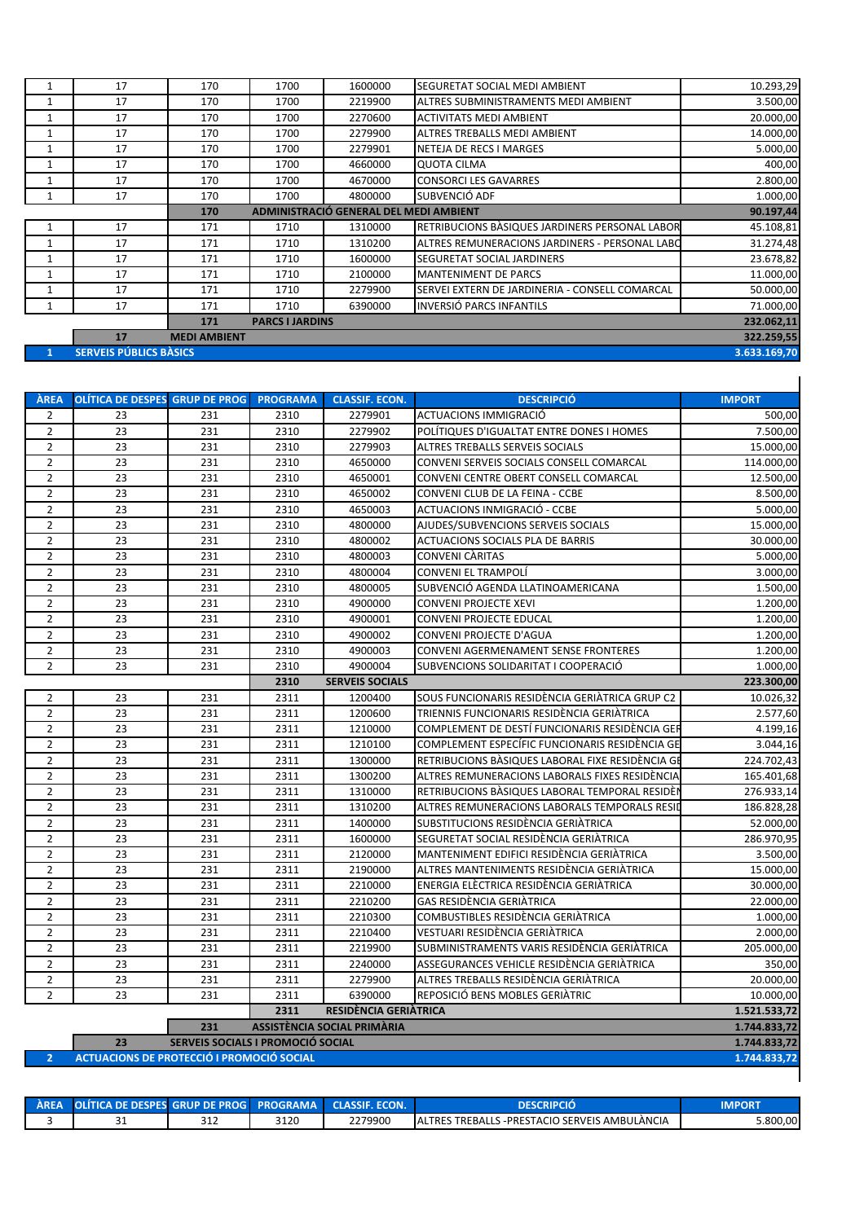|              | 17                            | 170                                           | 1700                   | 1600000 | SEGURETAT SOCIAL MEDI AMBIENT                  | 10.293,29    |  |
|--------------|-------------------------------|-----------------------------------------------|------------------------|---------|------------------------------------------------|--------------|--|
| 1            | 17                            | 170                                           | 1700                   | 2219900 | ALTRES SUBMINISTRAMENTS MEDI AMBIENT           | 3.500,00     |  |
| 1            | 17                            | 170                                           | 1700                   | 2270600 | <b>ACTIVITATS MEDI AMBIENT</b>                 | 20.000,00    |  |
|              | 17                            | 170                                           | 1700                   | 2279900 | ALTRES TREBALLS MEDI AMBIENT                   | 14.000,00    |  |
|              | 17                            | 170                                           | 1700                   | 2279901 | NETEJA DE RECS I MARGES                        | 5.000,00     |  |
| $\mathbf{1}$ | 17                            | 170                                           | 1700                   | 4660000 | <b>QUOTA CILMA</b>                             | 400,00       |  |
|              | 17                            | 170                                           | 1700                   | 4670000 | <b>CONSORCI LES GAVARRES</b>                   | 2.800,00     |  |
|              | 17                            | 170                                           | 1700                   | 4800000 | SUBVENCIÓ ADF                                  | 1.000,00     |  |
|              |                               | ADMINISTRACIÓ GENERAL DEL MEDI AMBIENT<br>170 |                        |         |                                                |              |  |
|              | 17                            | 171                                           | 1710                   | 1310000 | RETRIBUCIONS BASIQUES JARDINERS PERSONAL LABOR | 45.108,81    |  |
|              | 17                            | 171                                           | 1710                   | 1310200 | ALTRES REMUNERACIONS JARDINERS - PERSONAL LABO | 31.274,48    |  |
|              | 17                            | 171                                           | 1710                   | 1600000 | <b>SEGURETAT SOCIAL JARDINERS</b>              | 23.678,82    |  |
| 1            | 17                            | 171                                           | 1710                   | 2100000 | <b>MANTENIMENT DE PARCS</b>                    | 11.000,00    |  |
| 1            | 17                            | 171                                           | 1710                   | 2279900 | SERVEI EXTERN DE JARDINERIA - CONSELL COMARCAL | 50.000,00    |  |
|              | 17                            | 171                                           | 1710                   | 6390000 | <b>INVERSIÓ PARCS INFANTILS</b>                | 71.000,00    |  |
|              |                               | 171                                           | <b>PARCS I JARDINS</b> |         |                                                | 232.062,11   |  |
|              | 17                            | <b>MEDI AMBIENT</b>                           |                        |         |                                                | 322.259,55   |  |
|              | <b>SERVEIS PÚBLICS BÀSICS</b> |                                               |                        |         |                                                | 3.633.169,70 |  |

| ÀREA           | <b>OLÍTICA DE DESPES GRUP DE PROG</b>            |                                   | <b>PROGRAMA</b> | <b>CLASSIF. ECON.</b>              | <b>DESCRIPCIÓ</b>                                | <b>IMPORT</b> |  |  |
|----------------|--------------------------------------------------|-----------------------------------|-----------------|------------------------------------|--------------------------------------------------|---------------|--|--|
| $\overline{2}$ | 23                                               | 231                               | 2310            | 2279901                            | ACTUACIONS IMMIGRACIÓ                            | 500.00        |  |  |
| $\overline{2}$ | 23                                               | 231                               | 2310            | 2279902                            | POLÍTIQUES D'IGUALTAT ENTRE DONES I HOMES        | 7.500.00      |  |  |
| $\overline{2}$ | 23                                               | 231                               | 2310            | 2279903                            | ALTRES TREBALLS SERVEIS SOCIALS                  | 15.000,00     |  |  |
| $\overline{2}$ | 23                                               | 231                               | 2310            | 4650000                            | CONVENI SERVEIS SOCIALS CONSELL COMARCAL         | 114.000,00    |  |  |
| $\overline{2}$ | 23                                               | 231                               | 2310            | 4650001                            | CONVENI CENTRE OBERT CONSELL COMARCAL            | 12.500.00     |  |  |
| $\overline{2}$ | 23                                               | 231                               | 2310            | 4650002                            | CONVENI CLUB DE LA FEINA - CCBE                  | 8.500,00      |  |  |
| $\overline{2}$ | 23                                               | 231                               | 2310            | 4650003                            | ACTUACIONS INMIGRACIÓ - CCBE                     | 5.000.00      |  |  |
| $\overline{2}$ | 23                                               | 231                               | 2310            | 4800000                            | AJUDES/SUBVENCIONS SERVEIS SOCIALS               | 15.000,00     |  |  |
| $\overline{2}$ | 23                                               | 231                               | 2310            | 4800002                            | <b>ACTUACIONS SOCIALS PLA DE BARRIS</b>          | 30.000,00     |  |  |
| $\overline{2}$ | 23                                               | 231                               | 2310            | 4800003                            | <b>CONVENI CÀRITAS</b>                           | 5.000,00      |  |  |
| $\overline{2}$ | 23                                               | 231                               | 2310            | 4800004                            | <b>CONVENI EL TRAMPOLÍ</b>                       | 3.000,00      |  |  |
| $\overline{2}$ | 23                                               | 231                               | 2310            | 4800005                            | SUBVENCIÓ AGENDA LLATINOAMERICANA                | 1.500,00      |  |  |
| $\overline{2}$ | 23                                               | 231                               | 2310            | 4900000                            | <b>CONVENI PROJECTE XEVI</b>                     | 1.200,00      |  |  |
| $\overline{2}$ | 23                                               | 231                               | 2310            | 4900001                            | <b>CONVENI PROJECTE EDUCAL</b>                   | 1.200,00      |  |  |
| $\overline{2}$ | 23                                               | 231                               | 2310            | 4900002                            | CONVENI PROJECTE D'AGUA                          | 1.200,00      |  |  |
| $\overline{2}$ | 23                                               | 231                               | 2310            | 4900003                            | CONVENI AGERMENAMENT SENSE FRONTERES             | 1.200,00      |  |  |
| $\overline{2}$ | 23                                               | 231                               | 2310            | 4900004                            | SUBVENCIONS SOLIDARITAT I COOPERACIÓ             | 1.000,00      |  |  |
|                |                                                  |                                   | 2310            | <b>SERVEIS SOCIALS</b>             |                                                  | 223.300,00    |  |  |
| $\overline{2}$ | 23                                               | 231                               | 2311            | 1200400                            | SOUS FUNCIONARIS RESIDÈNCIA GERIÀTRICA GRUP C2   | 10.026,32     |  |  |
| $\overline{2}$ | 23                                               | 231                               | 2311            | 1200600                            | TRIENNIS FUNCIONARIS RESIDÈNCIA GERIÀTRICA       | 2.577,60      |  |  |
| $\overline{2}$ | 23                                               | 231                               | 2311            | 1210000                            | COMPLEMENT DE DESTÍ FUNCIONARIS RESIDÈNCIA GEF   | 4.199,16      |  |  |
| $\overline{2}$ | 23                                               | 231                               | 2311            | 1210100                            | COMPLEMENT ESPECÍFIC FUNCIONARIS RESIDÈNCIA GE   | 3.044.16      |  |  |
| $\overline{2}$ | 23                                               | 231                               | 2311            | 1300000                            | RETRIBUCIONS BÀSIQUES LABORAL FIXE RESIDÈNCIA GI | 224.702.43    |  |  |
| $\overline{2}$ | 23                                               | 231                               | 2311            | 1300200                            | ALTRES REMUNERACIONS LABORALS FIXES RESIDÈNCIA   | 165.401,68    |  |  |
| $\overline{2}$ | 23                                               | 231                               | 2311            | 1310000                            | RETRIBUCIONS BASIQUES LABORAL TEMPORAL RESIDÈI   | 276.933,14    |  |  |
| $\overline{2}$ | 23                                               | 231                               | 2311            | 1310200                            | ALTRES REMUNERACIONS LABORALS TEMPORALS RESID    | 186.828,28    |  |  |
| $\overline{2}$ | 23                                               | 231                               | 2311            | 1400000                            | SUBSTITUCIONS RESIDÈNCIA GERIÀTRICA              | 52.000,00     |  |  |
| $\overline{2}$ | 23                                               | 231                               | 2311            | 1600000                            | SEGURETAT SOCIAL RESIDÈNCIA GERIÀTRICA           | 286.970,95    |  |  |
| $\overline{2}$ | 23                                               | 231                               | 2311            | 2120000                            | MANTENIMENT EDIFICI RESIDÈNCIA GERIÀTRICA        | 3.500,00      |  |  |
| $\overline{2}$ | 23                                               | 231                               | 2311            | 2190000                            | ALTRES MANTENIMENTS RESIDÈNCIA GERIÀTRICA        | 15.000,00     |  |  |
| $\overline{2}$ | 23                                               | 231                               | 2311            | 2210000                            | ENERGIA ELÈCTRICA RESIDÈNCIA GERIÀTRICA          | 30.000,00     |  |  |
| $\overline{2}$ | 23                                               | 231                               | 2311            | 2210200                            | GAS RESIDÈNCIA GERIÀTRICA                        | 22.000,00     |  |  |
| $\overline{2}$ | 23                                               | 231                               | 2311            | 2210300                            | COMBUSTIBLES RESIDÈNCIA GERIÀTRICA               | 1.000.00      |  |  |
| $\overline{2}$ | 23                                               | 231                               | 2311            | 2210400                            | VESTUARI RESIDÈNCIA GERIÀTRICA                   | 2.000,00      |  |  |
| $\overline{2}$ | 23                                               | 231                               | 2311            | 2219900                            | SUBMINISTRAMENTS VARIS RESIDÈNCIA GERIÀTRICA     | 205.000,00    |  |  |
| $\overline{2}$ | 23                                               | 231                               | 2311            | 2240000                            | ASSEGURANCES VEHICLE RESIDÈNCIA GERIÀTRICA       | 350,00        |  |  |
| $\overline{2}$ | 23                                               | 231                               | 2311            | 2279900                            | ALTRES TREBALLS RESIDÈNCIA GERIÀTRICA            | 20.000,00     |  |  |
| $\overline{2}$ | 23                                               | 231                               | 2311            | 6390000                            | REPOSICIÓ BENS MOBLES GERIATRIC                  | 10.000,00     |  |  |
|                |                                                  |                                   | 2311            | RESIDÈNCIA GERIÀTRICA              |                                                  | 1.521.533.72  |  |  |
|                |                                                  | 231                               |                 | <b>ASSISTÈNCIA SOCIAL PRIMÀRIA</b> |                                                  | 1.744.833,72  |  |  |
|                | 23                                               | SERVEIS SOCIALS I PROMOCIÓ SOCIAL |                 |                                    |                                                  | 1.744.833,72  |  |  |
| $\overline{2}$ | <b>ACTUACIONS DE PROTECCIÓ I PROMOCIÓ SOCIAL</b> |                                   |                 |                                    |                                                  |               |  |  |

| AREA OLÍTICA DE DESPES GRUP DE PROGI PROGRAMA CLASSIF. ECON. |     |      |         | DESCRIPCIO                                     | <b>MPORT</b> |
|--------------------------------------------------------------|-----|------|---------|------------------------------------------------|--------------|
|                                                              | ے⊥د | 3120 | 2279900 | LALTRES TREBALLS -PRESTACIO SERVEIS AMBULANCIA | 5.800.00     |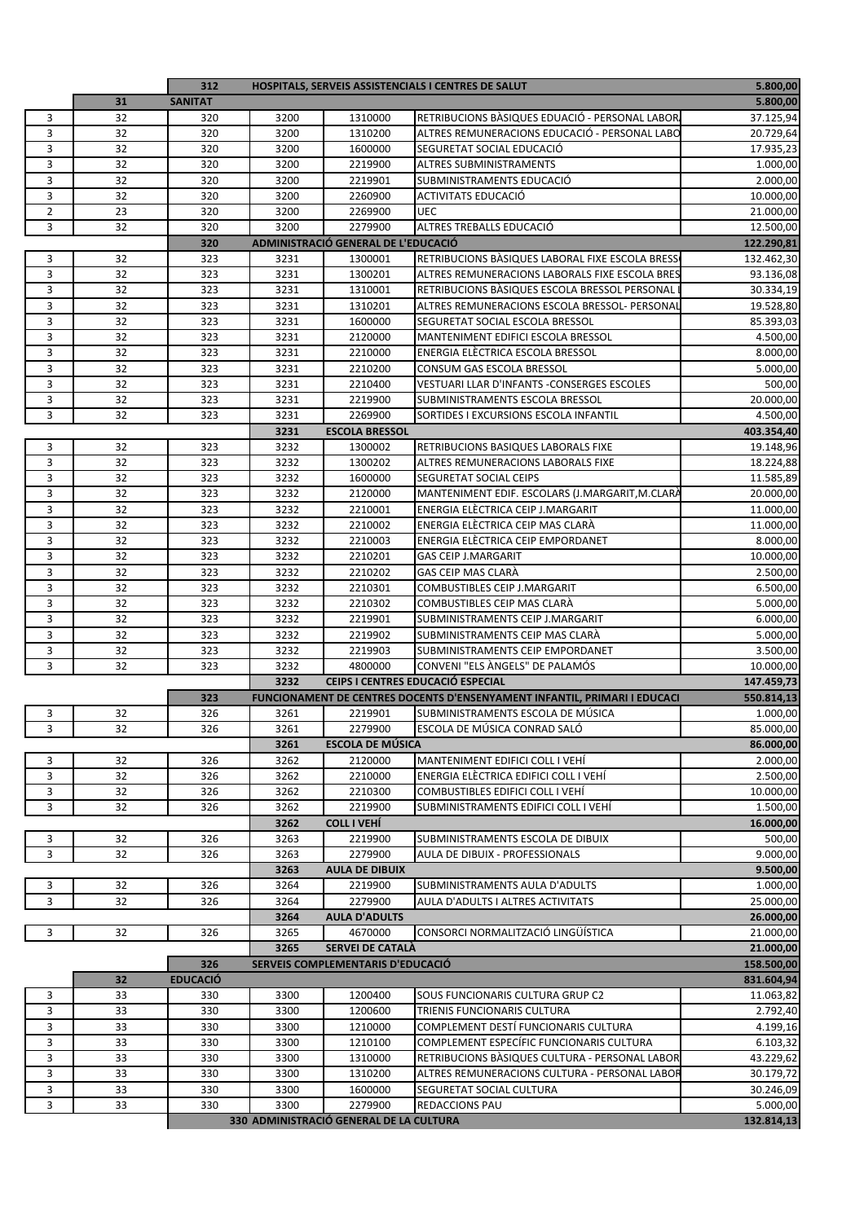|              |          | 312             |              |                                                | <b>HOSPITALS, SERVEIS ASSISTENCIALS I CENTRES DE SALUT</b>                           | 5.800,00                |
|--------------|----------|-----------------|--------------|------------------------------------------------|--------------------------------------------------------------------------------------|-------------------------|
|              | 31       | <b>SANITAT</b>  |              |                                                |                                                                                      | 5.800,00                |
| 3            | 32       | 320             | 3200         | 1310000                                        | RETRIBUCIONS BÀSIQUES EDUACIÓ - PERSONAL LABOR                                       | 37.125,94               |
| 3            | 32       | 320             | 3200         | 1310200                                        | ALTRES REMUNERACIONS EDUCACIÓ - PERSONAL LABO                                        | 20.729,64               |
| 3            | 32       | 320             | 3200         | 1600000                                        | SEGURETAT SOCIAL EDUCACIÓ                                                            | 17.935,23               |
| 3            | 32       | 320             | 3200         | 2219900                                        | <b>ALTRES SUBMINISTRAMENTS</b>                                                       | 1.000,00                |
| 3            | 32       | 320             | 3200         | 2219901                                        | SUBMINISTRAMENTS EDUCACIÓ                                                            | 2.000,00                |
| 3            | 32       | 320             | 3200         | 2260900                                        | <b>ACTIVITATS EDUCACIÓ</b>                                                           | 10.000,00               |
| $\mathbf{2}$ | 23       | 320             | 3200         | 2269900                                        | <b>UEC</b>                                                                           | 21.000,00               |
| 3            | 32       | 320<br>320      | 3200         | 2279900<br>ADMINISTRACIÓ GENERAL DE L'EDUCACIÓ | ALTRES TREBALLS EDUCACIÓ                                                             | 12.500,00<br>122.290,81 |
| 3            | 32       | 323             | 3231         | 1300001                                        | RETRIBUCIONS BASIQUES LABORAL FIXE ESCOLA BRESS                                      | 132.462,30              |
| 3            | 32       | 323             | 3231         | 1300201                                        | ALTRES REMUNERACIONS LABORALS FIXE ESCOLA BRES                                       | 93.136,08               |
| 3            | 32       | 323             | 3231         | 1310001                                        | RETRIBUCIONS BASIQUES ESCOLA BRESSOL PERSONAL                                        | 30.334,19               |
| 3            | 32       | 323             | 3231         | 1310201                                        | ALTRES REMUNERACIONS ESCOLA BRESSOL- PERSONAL                                        | 19.528,80               |
| 3            | 32       | 323             | 3231         | 1600000                                        | SEGURETAT SOCIAL ESCOLA BRESSOL                                                      | 85.393,03               |
| 3            | 32       | 323             | 3231         | 2120000                                        | MANTENIMENT EDIFICI ESCOLA BRESSOL                                                   | 4.500,00                |
| 3            | 32       | 323             | 3231         | 2210000                                        | ENERGIA ELECTRICA ESCOLA BRESSOL                                                     | 8.000,00                |
| 3            | 32       | 323             | 3231         | 2210200                                        | CONSUM GAS ESCOLA BRESSOL                                                            | 5.000,00                |
| 3            | 32       | 323             | 3231         | 2210400                                        | VESTUARI LLAR D'INFANTS - CONSERGES ESCOLES                                          | 500,00                  |
| 3            | 32       | 323             | 3231         | 2219900                                        | SUBMINISTRAMENTS ESCOLA BRESSOL                                                      | 20.000,00               |
| 3            | 32       | 323             | 3231         | 2269900                                        | SORTIDES I EXCURSIONS ESCOLA INFANTIL                                                | 4.500,00                |
|              |          |                 | 3231         | <b>ESCOLA BRESSOL</b>                          |                                                                                      | 403.354,40              |
| 3            | 32       | 323             | 3232         | 1300002                                        | RETRIBUCIONS BASIQUES LABORALS FIXE                                                  | 19.148,96               |
| 3            | 32       | 323             | 3232         | 1300202                                        | ALTRES REMUNERACIONS LABORALS FIXE                                                   | 18.224,88               |
| 3            | 32       | 323             | 3232         | 1600000                                        | SEGURETAT SOCIAL CEIPS                                                               | 11.585,89               |
| 3<br>3       | 32<br>32 | 323<br>323      | 3232<br>3232 | 2120000<br>2210001                             | MANTENIMENT EDIF. ESCOLARS (J.MARGARIT, M.CLARA<br>ENERGIA ELÈCTRICA CEIP J.MARGARIT | 20.000,00               |
| 3            | 32       | 323             | 3232         | 2210002                                        | ENERGIA ELECTRICA CEIP MAS CLARA                                                     | 11.000,00<br>11.000,00  |
| 3            | 32       | 323             | 3232         | 2210003                                        | ENERGIA ELÈCTRICA CEIP EMPORDANET                                                    | 8.000,00                |
| 3            | 32       | 323             | 3232         | 2210201                                        | <b>GAS CEIP J.MARGARIT</b>                                                           | 10.000,00               |
| 3            | 32       | 323             | 3232         | 2210202                                        | GAS CEIP MAS CLARA                                                                   | 2.500,00                |
| 3            | 32       | 323             | 3232         | 2210301                                        | COMBUSTIBLES CEIP J.MARGARIT                                                         | 6.500,00                |
| 3            | 32       | 323             | 3232         | 2210302                                        | COMBUSTIBLES CEIP MAS CLARA                                                          | 5.000,00                |
| 3            | 32       | 323             | 3232         | 2219901                                        | SUBMINISTRAMENTS CEIP J.MARGARIT                                                     | 6.000,00                |
| 3            | 32       | 323             | 3232         | 2219902                                        | SUBMINISTRAMENTS CEIP MAS CLARA                                                      | 5.000,00                |
| 3            | 32       | 323             | 3232         | 2219903                                        | SUBMINISTRAMENTS CEIP EMPORDANET                                                     | 3.500,00                |
| 3            | 32       | 323             | 3232         | 4800000                                        | CONVENI "ELS ÀNGELS" DE PALAMÓS                                                      | 10.000,00               |
|              |          |                 | 3232         |                                                | <b>CEIPS I CENTRES EDUCACIÓ ESPECIAL</b>                                             | 147.459,73              |
|              |          | 323             |              |                                                | FUNCIONAMENT DE CENTRES DOCENTS D'ENSENYAMENT INFANTIL, PRIMARI I EDUCACI            | 550.814,13              |
| 3            | 32       | 326             | 3261         | 2219901                                        | SUBMINISTRAMENTS ESCOLA DE MÚSICA                                                    | 1.000.00                |
| 3            | 32       | 326             | 3261         | 2279900                                        | ESCOLA DE MÚSICA CONRAD SALÓ                                                         | 85.000,00               |
| 3            | 32       | 326             | 3261<br>3262 | <b>ESCOLA DE MÚSICA</b><br>2120000             | MANTENIMENT EDIFICI COLL I VEHÍ                                                      | 86.000,00<br>2.000,00   |
| 3            | 32       | 326             | 3262         | 2210000                                        | ENERGIA ELÈCTRICA EDIFICI COLL I VEHÍ                                                | 2.500,00                |
| 3            | 32       | 326             | 3262         | 2210300                                        | COMBUSTIBLES EDIFICI COLL I VEHÍ                                                     | 10.000,00               |
| 3            | 32       | 326             | 3262         | 2219900                                        | SUBMINISTRAMENTS EDIFICI COLL I VEHÍ                                                 | 1.500,00                |
|              |          |                 | 3262         | COLL I VEHÍ                                    |                                                                                      | 16.000,00               |
| 3            | 32       | 326             | 3263         | 2219900                                        | SUBMINISTRAMENTS ESCOLA DE DIBUIX                                                    | 500,00                  |
| 3            | 32       | 326             | 3263         | 2279900                                        | AULA DE DIBUIX - PROFESSIONALS                                                       | 9.000.00                |
|              |          |                 | 3263         | <b>AULA DE DIBUIX</b>                          |                                                                                      | 9.500,00                |
| 3            | 32       | 326             | 3264         | 2219900                                        | SUBMINISTRAMENTS AULA D'ADULTS                                                       | 1.000,00                |
| 3            | 32       | 326             | 3264         | 2279900                                        | AULA D'ADULTS I ALTRES ACTIVITATS                                                    | 25.000,00               |
|              |          |                 | 3264         | <b>AULA D'ADULTS</b>                           |                                                                                      | 26.000,00               |
| 3            | 32       | 326             | 3265         | 4670000                                        | CONSORCI NORMALITZACIÓ LINGÜÍSTICA                                                   | 21.000,00               |
|              |          |                 | 3265         | SERVEI DE CATALÀ                               |                                                                                      | 21.000,00               |
|              |          | 326             |              | SERVEIS COMPLEMENTARIS D'EDUCACIÓ              |                                                                                      | 158.500,00              |
|              | 32       | <b>EDUCACIÓ</b> |              |                                                |                                                                                      | 831.604,94              |
| 3            | 33       | 330             | 3300         | 1200400                                        | SOUS FUNCIONARIS CULTURA GRUP C2                                                     | 11.063,82               |
| 3<br>3       | 33<br>33 | 330<br>330      | 3300<br>3300 | 1200600<br>1210000                             | TRIENIS FUNCIONARIS CULTURA<br>COMPLEMENT DESTÍ FUNCIONARIS CULTURA                  | 2.792,40<br>4.199,16    |
| 3            | 33       | 330             | 3300         | 1210100                                        | COMPLEMENT ESPECÍFIC FUNCIONARIS CULTURA                                             | 6.103,32                |
| 3            | 33       | 330             | 3300         | 1310000                                        | RETRIBUCIONS BASIQUES CULTURA - PERSONAL LABOR                                       | 43.229,62               |
| 3            | 33       | 330             | 3300         | 1310200                                        | ALTRES REMUNERACIONS CULTURA - PERSONAL LABOF                                        | 30.179,72               |
| 3            | 33       | 330             | 3300         | 1600000                                        | SEGURETAT SOCIAL CULTURA                                                             | 30.246,09               |
| 3            | 33       | 330             | 3300         | 2279900                                        | <b>REDACCIONS PAU</b>                                                                | 5.000,00                |
|              |          |                 |              | 330 ADMINISTRACIÓ GENERAL DE LA CULTURA        |                                                                                      | 132.814,13              |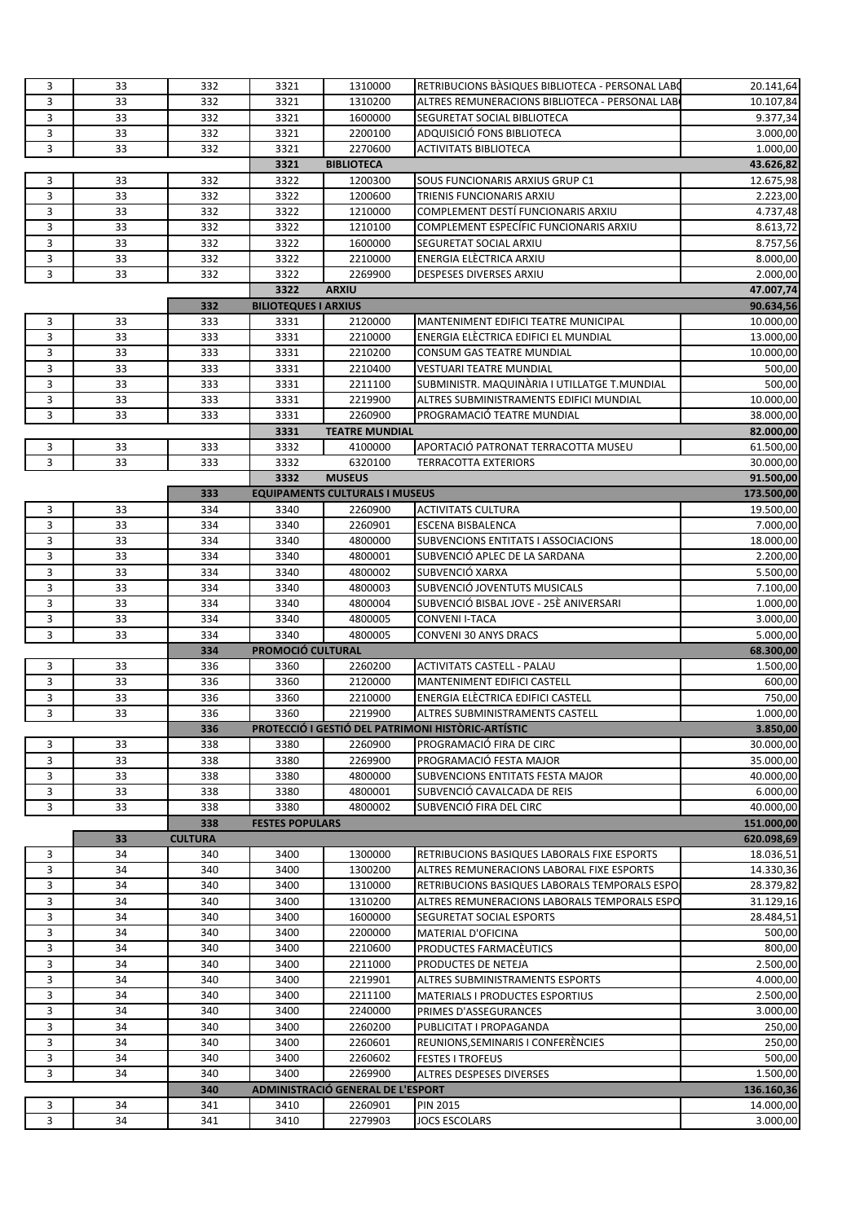| 3 | 33 | 332            | 3321                        | 1310000                               | RETRIBUCIONS BASIQUES BIBLIOTECA - PERSONAL LABO   | 20.141,64              |
|---|----|----------------|-----------------------------|---------------------------------------|----------------------------------------------------|------------------------|
| 3 | 33 | 332            | 3321                        | 1310200                               | ALTRES REMUNERACIONS BIBLIOTECA - PERSONAL LAB     | 10.107,84              |
| 3 | 33 | 332            | 3321                        | 1600000                               | SEGURETAT SOCIAL BIBLIOTECA                        | 9.377,34               |
| 3 | 33 | 332            | 3321                        | 2200100                               | ADQUISICIÓ FONS BIBLIOTECA                         | 3.000,00               |
| 3 | 33 | 332            | 3321                        | 2270600                               | <b>ACTIVITATS BIBLIOTECA</b>                       | 1.000,00               |
|   |    |                | 3321                        | <b>BIBLIOTECA</b>                     |                                                    | 43.626,82              |
| 3 | 33 | 332            | 3322                        | 1200300                               | SOUS FUNCIONARIS ARXIUS GRUP C1                    | 12.675,98              |
| 3 | 33 | 332            | 3322                        | 1200600                               | TRIENIS FUNCIONARIS ARXIU                          | 2.223,00               |
| 3 | 33 | 332            | 3322                        | 1210000                               | COMPLEMENT DESTÍ FUNCIONARIS ARXIU                 | 4.737,48               |
|   |    |                |                             |                                       |                                                    |                        |
| 3 | 33 | 332            | 3322                        | 1210100                               | COMPLEMENT ESPECÍFIC FUNCIONARIS ARXIU             | 8.613,72               |
| 3 | 33 | 332            | 3322                        | 1600000                               | <b>SEGURETAT SOCIAL ARXIU</b>                      | 8.757,56               |
| 3 | 33 | 332            | 3322                        | 2210000                               | ENERGIA ELÈCTRICA ARXIU                            | 8.000,00               |
| 3 | 33 | 332            | 3322                        | 2269900                               | DESPESES DIVERSES ARXIU                            | 2.000,00               |
|   |    |                | 3322                        | <b>ARXIU</b>                          |                                                    | 47.007,74              |
|   |    | 332            | <b>BILIOTEQUES I ARXIUS</b> |                                       |                                                    | 90.634,56              |
| 3 | 33 | 333            | 3331                        | 2120000                               | MANTENIMENT EDIFICI TEATRE MUNICIPAL               | 10.000,00              |
| 3 | 33 | 333            | 3331                        | 2210000                               | ENERGIA ELECTRICA EDIFICI EL MUNDIAL               | 13.000,00              |
| 3 | 33 | 333            | 3331                        | 2210200                               | CONSUM GAS TEATRE MUNDIAL                          | 10.000,00              |
| 3 | 33 | 333            | 3331                        | 2210400                               | <b>VESTUARI TEATRE MUNDIAL</b>                     | 500,00                 |
| 3 | 33 | 333            | 3331                        | 2211100                               | SUBMINISTR. MAQUINÀRIA I UTILLATGE T.MUNDIAL       | 500,00                 |
| 3 | 33 | 333            | 3331                        | 2219900                               | ALTRES SUBMINISTRAMENTS EDIFICI MUNDIAL            | 10.000,00              |
|   |    |                |                             |                                       |                                                    |                        |
| 3 | 33 | 333            | 3331                        | 2260900                               | PROGRAMACIÓ TEATRE MUNDIAL                         | 38.000,00              |
|   |    |                | 3331                        | <b>TEATRE MUNDIAL</b>                 |                                                    | 82.000,00              |
| 3 | 33 | 333            | 3332                        | 4100000                               | APORTACIÓ PATRONAT TERRACOTTA MUSEU                | $\overline{61.500,00}$ |
| 3 | 33 | 333            | 3332                        | 6320100                               | <b>TERRACOTTA EXTERIORS</b>                        | 30.000,00              |
|   |    |                | 3332                        | <b>MUSEUS</b>                         |                                                    | 91.500,00              |
|   |    | 333            |                             | <b>EQUIPAMENTS CULTURALS I MUSEUS</b> |                                                    | 173.500,00             |
| 3 | 33 | 334            | 3340                        | 2260900                               | <b>ACTIVITATS CULTURA</b>                          | 19.500,00              |
| 3 | 33 | 334            | 3340                        | 2260901                               | <b>ESCENA BISBALENCA</b>                           | 7.000,00               |
| 3 | 33 | 334            | 3340                        | 4800000                               | <b>SUBVENCIONS ENTITATS I ASSOCIACIONS</b>         | 18.000,00              |
| 3 | 33 | 334            | 3340                        | 4800001                               | SUBVENCIÓ APLEC DE LA SARDANA                      | 2.200,00               |
| 3 | 33 | 334            | 3340                        | 4800002                               | SUBVENCIÓ XARXA                                    | 5.500,00               |
| 3 | 33 | 334            | 3340                        | 4800003                               | SUBVENCIÓ JOVENTUTS MUSICALS                       | 7.100,00               |
| 3 | 33 | 334            | 3340                        | 4800004                               | SUBVENCIÓ BISBAL JOVE - 25È ANIVERSARI             | 1.000,00               |
| 3 | 33 | 334            | 3340                        | 4800005                               | <b>CONVENI I-TACA</b>                              | 3.000,00               |
| 3 | 33 | 334            | 3340                        | 4800005                               | <b>CONVENI 30 ANYS DRACS</b>                       | 5.000,00               |
|   |    |                | <b>PROMOCIÓ CULTURAL</b>    |                                       |                                                    |                        |
|   |    | 334            |                             |                                       |                                                    | 68.300,00              |
| 3 | 33 | 336            | 3360                        | 2260200                               | <b>ACTIVITATS CASTELL - PALAU</b>                  | 1.500,00               |
| 3 | 33 | 336            | 3360                        | 2120000                               | <b>MANTENIMENT EDIFICI CASTELL</b>                 | 600,00                 |
| 3 | 33 | 336            | 3360                        | 2210000                               | ENERGIA ELÈCTRICA EDIFICI CASTELL                  | 750,00                 |
| 3 | 33 | 336            | 3360                        | 2219900                               | ALTRES SUBMINISTRAMENTS CASTELL                    | 1.000,00               |
|   |    | 336            |                             |                                       | PROTECCIO I GESTIO DEL PATRIMONI HISTORIC-ARTISTIC | 3.850,00               |
| 3 | 33 | 338            | 3380                        | 2260900                               | PROGRAMACIÓ FIRA DE CIRC                           | 30.000,00              |
| 3 | 33 | 338            | 3380                        | 2269900                               | PROGRAMACIÓ FESTA MAJOR                            | 35.000,00              |
| 3 | 33 | 338            | 3380                        | 4800000                               | <b>SUBVENCIONS ENTITATS FESTA MAJOR</b>            | 40.000,00              |
| 3 | 33 | 338            | 3380                        | 4800001                               | SUBVENCIÓ CAVALCADA DE REIS                        | 6.000,00               |
| 3 | 33 | 338            | 3380                        | 4800002                               | SUBVENCIÓ FIRA DEL CIRC                            | 40.000,00              |
|   |    | 338            | <b>FESTES POPULARS</b>      |                                       |                                                    | 151.000,00             |
|   | 33 | <b>CULTURA</b> |                             |                                       |                                                    | 620.098,69             |
| 3 | 34 | 340            | 3400                        | 1300000                               | RETRIBUCIONS BASIQUES LABORALS FIXE ESPORTS        | 18.036,51              |
| 3 | 34 | 340            | 3400                        | 1300200                               | ALTRES REMUNERACIONS LABORAL FIXE ESPORTS          | 14.330,36              |
|   | 34 |                |                             |                                       |                                                    | 28.379,82              |
| 3 |    | 340            | 3400                        | 1310000                               | RETRIBUCIONS BASIQUES LABORALS TEMPORALS ESPO      |                        |
| 3 | 34 | 340            | 3400                        | 1310200                               | ALTRES REMUNERACIONS LABORALS TEMPORALS ESPO       | 31.129,16              |
| 3 | 34 | 340            | 3400                        | 1600000                               | SEGURETAT SOCIAL ESPORTS                           | 28.484,51              |
| 3 | 34 | 340            | 3400                        | 2200000                               | MATERIAL D'OFICINA                                 | 500,00                 |
| 3 | 34 | 340            | 3400                        | 2210600                               | PRODUCTES FARMACEUTICS                             | 800,00                 |
| 3 | 34 | 340            | 3400                        | 2211000                               | PRODUCTES DE NETEJA                                | 2.500,00               |
| 3 | 34 | 340            | 3400                        | 2219901                               | ALTRES SUBMINISTRAMENTS ESPORTS                    | 4.000,00               |
| 3 | 34 | 340            | 3400                        | 2211100                               | <b>MATERIALS I PRODUCTES ESPORTIUS</b>             | 2.500,00               |
| 3 | 34 | 340            | 3400                        | 2240000                               | PRIMES D'ASSEGURANCES                              | 3.000,00               |
| 3 | 34 | 340            | 3400                        | 2260200                               | PUBLICITAT I PROPAGANDA                            | 250,00                 |
| 3 | 34 | 340            | 3400                        | 2260601                               | REUNIONS, SEMINARIS I CONFERÈNCIES                 | 250,00                 |
| 3 | 34 | 340            | 3400                        | 2260602                               | <b>FESTES I TROFEUS</b>                            | 500,00                 |
| 3 | 34 | 340            | 3400                        | 2269900                               | ALTRES DESPESES DIVERSES                           | 1.500,00               |
|   |    | 340            |                             | ADMINISTRACIÓ GENERAL DE L'ESPORT     |                                                    | 136.160,36             |
| 3 | 34 | 341            | 3410                        | 2260901                               | <b>PIN 2015</b>                                    | 14.000,00              |
| 3 |    |                |                             | 2279903                               |                                                    |                        |
|   | 34 | 341            | 3410                        |                                       | <b>JOCS ESCOLARS</b>                               | 3.000,00               |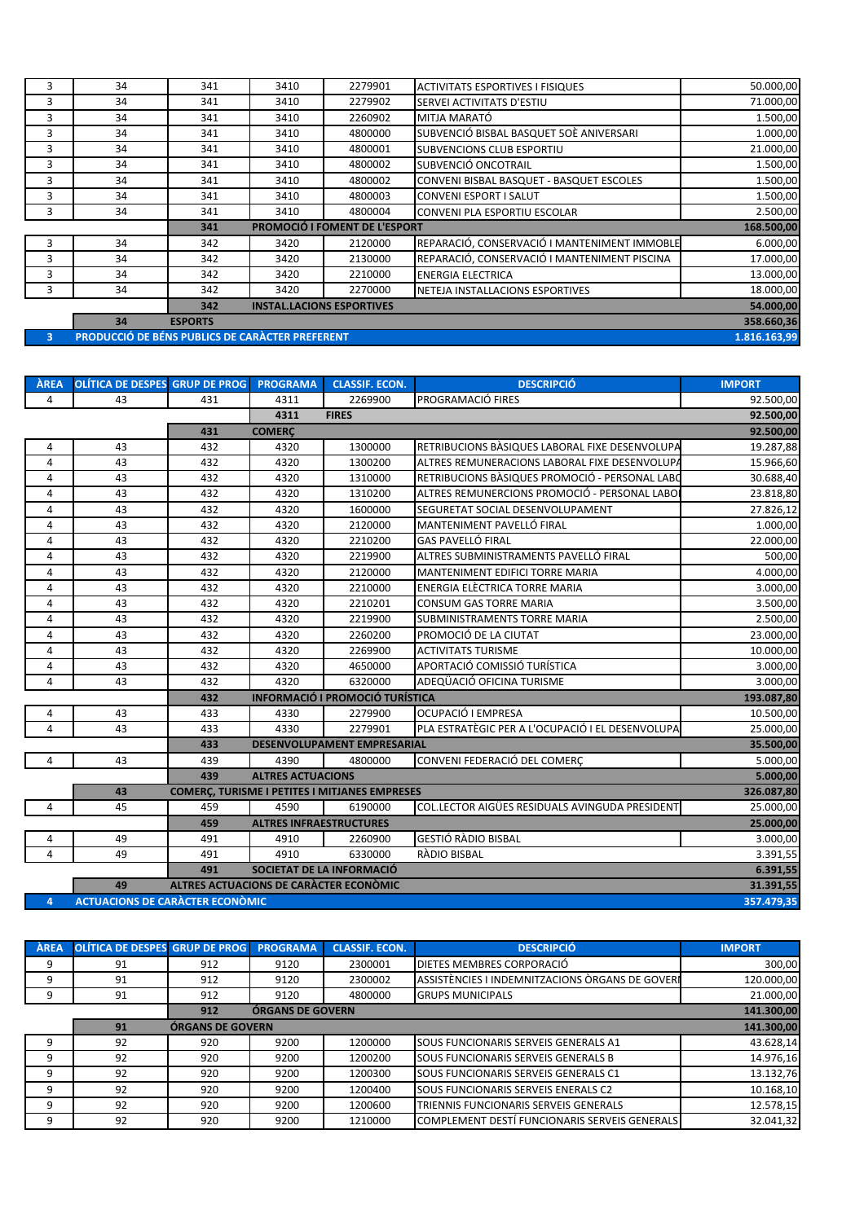| 3        | 34                                              | 341            | 3410 | 2279901                              | <b>ACTIVITATS ESPORTIVES I FISIQUES</b>      | 50.000,00  |  |  |
|----------|-------------------------------------------------|----------------|------|--------------------------------------|----------------------------------------------|------------|--|--|
| 3        | 34                                              | 341            | 3410 | 2279902                              | SERVEI ACTIVITATS D'ESTIU                    | 71.000,00  |  |  |
| 3        | 34                                              | 341            | 3410 | 2260902                              | MITJA MARATÓ                                 | 1.500,00   |  |  |
| 3        | 34                                              | 341            | 3410 | 4800000                              | SUBVENCIÓ BISBAL BASQUET 50È ANIVERSARI      | 1.000,00   |  |  |
| 3        | 34                                              | 341            | 3410 | 4800001                              | SUBVENCIONS CLUB ESPORTIU                    | 21.000,00  |  |  |
| 3        | 34                                              | 341            | 3410 | 4800002                              | SUBVENCIÓ ONCOTRAIL                          | 1.500,00   |  |  |
| 3        | 34                                              | 341            | 3410 | 4800002                              | CONVENI BISBAL BASQUET - BASQUET ESCOLES     | 1.500,00   |  |  |
| 3        | 34                                              | 341            | 3410 | 4800003                              | <b>CONVENI ESPORT I SALUT</b>                | 1.500,00   |  |  |
| 3        | 34                                              | 341            | 3410 | 4800004                              | <b>CONVENI PLA ESPORTIU ESCOLAR</b>          | 2.500,00   |  |  |
|          |                                                 | 341            |      | <b>PROMOCIÓ I FOMENT DE L'ESPORT</b> |                                              | 168.500,00 |  |  |
| 3        | 34                                              | 342            | 3420 | 2120000                              | REPARACIÓ, CONSERVACIÓ I MANTENIMENT IMMOBLE | 6.000,00   |  |  |
| 3        | 34                                              | 342            | 3420 | 2130000                              | REPARACIÓ, CONSERVACIÓ I MANTENIMENT PISCINA | 17.000,00  |  |  |
| 3        | 34                                              | 342            | 3420 | 2210000                              | <b>ENERGIA ELECTRICA</b>                     | 13.000,00  |  |  |
| 3        | 34                                              | 342            | 3420 | 2270000                              | NETEJA INSTALLACIONS ESPORTIVES              | 18.000,00  |  |  |
|          |                                                 | 342            |      | <b>INSTAL.LACIONS ESPORTIVES</b>     |                                              | 54.000,00  |  |  |
|          | 34                                              | <b>ESPORTS</b> |      |                                      |                                              | 358.660,36 |  |  |
| $\sim$ 3 | PRODUCCIÓ DE BÉNS PUBLICS DE CARÀCTER PREFERENT |                |      |                                      |                                              |            |  |  |

| <b>AREA</b>    | OLÍTICA DE DESPES GRUP DE PROG PROGRAMA |                                                      |                                | <b>CLASSIF. ECON.</b>                  | <b>DESCRIPCIÓ</b>                                     | <b>IMPORT</b> |
|----------------|-----------------------------------------|------------------------------------------------------|--------------------------------|----------------------------------------|-------------------------------------------------------|---------------|
| 4              | 43                                      | 431                                                  | 4311                           | 2269900                                | PROGRAMACIÓ FIRES                                     | 92.500,00     |
|                |                                         |                                                      | 4311                           | <b>FIRES</b>                           |                                                       | 92.500,00     |
|                |                                         | 431                                                  | <b>COMERC</b>                  |                                        |                                                       | 92.500,00     |
| 4              | 43                                      | 432                                                  | 4320                           | 1300000                                | RETRIBUCIONS BASIQUES LABORAL FIXE DESENVOLUPA        | 19.287,88     |
| $\overline{4}$ | 43                                      | 432                                                  | 4320                           | 1300200                                | ALTRES REMUNERACIONS LABORAL FIXE DESENVOLUPA         | 15.966,60     |
| 4              | 43                                      | 432                                                  | 4320                           | 1310000                                | RETRIBUCIONS BÀSIQUES PROMOCIÓ - PERSONAL LABO        | 30.688,40     |
| $\overline{4}$ | 43                                      | 432                                                  | 4320                           | 1310200                                | ALTRES REMUNERCIONS PROMOCIÓ - PERSONAL LABO          | 23.818,80     |
| 4              | 43                                      | 432                                                  | 4320                           | 1600000                                | SEGURETAT SOCIAL DESENVOLUPAMENT                      | 27.826,12     |
| 4              | 43                                      | 432                                                  | 4320                           | 2120000                                | MANTENIMENT PAVELLÓ FIRAL                             | 1.000,00      |
| 4              | 43                                      | 432                                                  | 4320                           | 2210200                                | <b>GAS PAVELLÓ FIRAL</b>                              | 22.000,00     |
| 4              | 43                                      | 432                                                  | 4320                           | 2219900                                | ALTRES SUBMINISTRAMENTS PAVELLÓ FIRAL                 | 500,00        |
| $\overline{4}$ | 43                                      | 432                                                  | 4320                           | 2120000                                | MANTENIMENT EDIFICI TORRE MARIA                       | 4.000,00      |
| 4              | 43                                      | 432                                                  | 4320                           | 2210000                                | ENERGIA ELÈCTRICA TORRE MARIA                         | 3.000,00      |
| $\overline{4}$ | 43                                      | 432                                                  | 4320                           | 2210201                                | <b>CONSUM GAS TORRE MARIA</b>                         | 3.500,00      |
| 4              | 43                                      | 432                                                  | 4320                           | 2219900                                | SUBMINISTRAMENTS TORRE MARIA                          | 2.500,00      |
| 4              | 43                                      | 432                                                  | 4320                           | 2260200                                | PROMOCIÓ DE LA CIUTAT                                 | 23.000,00     |
| 4              | 43                                      | 432                                                  | 4320                           | 2269900                                | <b>ACTIVITATS TURISME</b>                             | 10.000,00     |
| $\overline{4}$ | 43                                      | 432                                                  | 4320                           | 4650000                                | APORTACIÓ COMISSIÓ TURÍSTICA                          | 3.000,00      |
| 4              | 43                                      | 432                                                  | 4320                           | 6320000                                | ADEQÜACIÓ OFICINA TURISME                             | 3.000,00      |
|                |                                         | 432                                                  |                                | <b>INFORMACIÓ I PROMOCIÓ TURÍSTICA</b> |                                                       | 193.087,80    |
| 4              | 43                                      | 433                                                  | 4330                           | 2279900                                | OCUPACIÓ I EMPRESA                                    | 10.500,00     |
| 4              | 43                                      | 433                                                  | 4330                           | 2279901                                | PLA ESTRATÈGIC PER A L'OCUPACIÓ I EL DESENVOLUPA      | 25.000,00     |
|                |                                         | 433                                                  |                                | DESENVOLUPAMENT EMPRESARIAL            |                                                       | 35.500,00     |
| 4              | 43                                      | 439                                                  | 4390                           | 4800000                                | CONVENI FEDERACIÓ DEL COMERÇ                          | 5.000,00      |
|                |                                         | 439                                                  | <b>ALTRES ACTUACIONS</b>       |                                        |                                                       | 5.000,00      |
|                | 43                                      | <b>COMERÇ, TURISME I PETITES I MITJANES EMPRESES</b> |                                | 326.087,80                             |                                                       |               |
| 4              | 45                                      | 459                                                  | 4590                           | 6190000                                | <b>COL.LECTOR AIGUES RESIDUALS AVINGUDA PRESIDENT</b> | 25.000,00     |
|                |                                         | 459                                                  | <b>ALTRES INFRAESTRUCTURES</b> |                                        |                                                       | 25.000,00     |
| 4              | 49                                      | 491                                                  | 4910                           | 2260900                                | <b>GESTIÓ RÀDIO BISBAL</b>                            | 3.000,00      |
| 4              | 49                                      | 491                                                  | 4910                           | 6330000                                | RÀDIO BISBAL                                          | 3.391,55      |
|                |                                         | 491                                                  |                                | SOCIETAT DE LA INFORMACIÓ              |                                                       | 6.391,55      |
|                | 49                                      | <b>ALTRES ACTUACIONS DE CARÀCTER ECONÒMIC</b>        |                                |                                        |                                                       | 31.391,55     |
| 4              | <b>ACTUACIONS DE CARÀCTER ECONÒMIC</b>  |                                                      |                                |                                        |                                                       | 357.479,35    |

| ÀREA | <b>OLÍTICA DE DESPES GRUP DE PROG</b> |                         | <b>PROGRAMA</b> | <b>CLASSIF. ECON.</b> | <b>DESCRIPCIÓ</b>                               | <b>IMPORT</b> |  |
|------|---------------------------------------|-------------------------|-----------------|-----------------------|-------------------------------------------------|---------------|--|
| 9    | 91                                    | 912                     | 9120            | 2300001               | DIETES MEMBRES CORPORACIÓ                       | 300,00        |  |
| 9    | 91                                    | 912                     | 9120            | 2300002               | ASSISTÈNCIES I INDEMNITZACIONS ÒRGANS DE GOVERI | 120.000,00    |  |
| 9    | 91                                    | 912                     | 9120            | 4800000               | <b>GRUPS MUNICIPALS</b>                         | 21.000,00     |  |
|      |                                       |                         | 141.300,00      |                       |                                                 |               |  |
|      | 91                                    | <b>ÓRGANS DE GOVERN</b> |                 |                       |                                                 |               |  |
| 9    | 92                                    | 920                     | 9200            | 1200000               | SOUS FUNCIONARIS SERVEIS GENERALS A1            | 43.628,14     |  |
| 9    | 92                                    | 920                     | 9200            | 1200200               | SOUS FUNCIONARIS SERVEIS GENERALS B             | 14.976,16     |  |
| 9    | 92                                    | 920                     | 9200            | 1200300               | SOUS FUNCIONARIS SERVEIS GENERALS C1            | 13.132,76     |  |
| 9    | 92                                    | 920                     | 9200            | 1200400               | SOUS FUNCIONARIS SERVEIS ENERALS C2             | 10.168,10     |  |
| 9    | 92                                    | 920                     | 9200            | 1200600               | TRIENNIS FUNCIONARIS SERVEIS GENERALS           | 12.578,15     |  |
| 9    | 92                                    | 920                     | 9200            | 1210000               | COMPLEMENT DESTÍ FUNCIONARIS SERVEIS GENERALS   | 32.041,32     |  |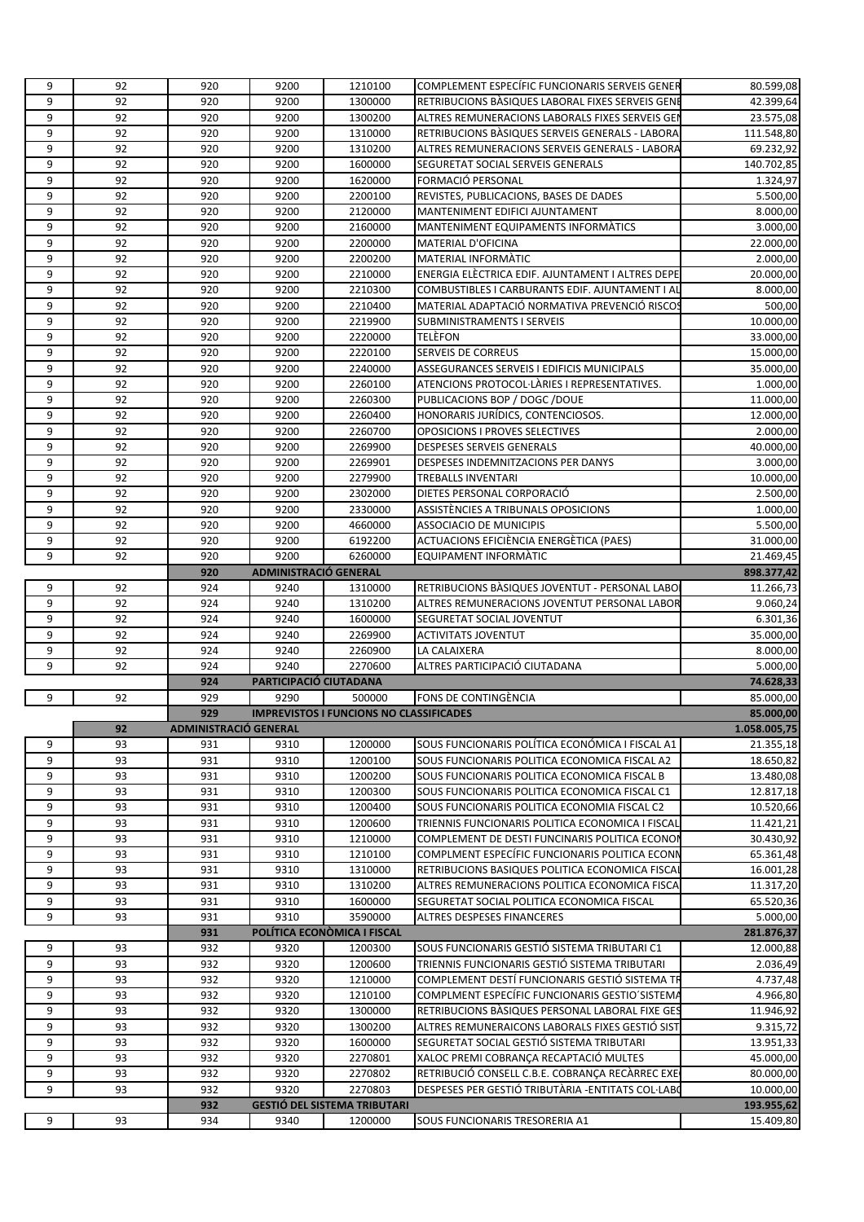| 9<br>92<br>920<br>9200<br>1300000<br>RETRIBUCIONS BÀSIQUES LABORAL FIXES SERVEIS GENE<br>9<br>92<br>23.575,08<br>920<br>9200<br>1300200<br>ALTRES REMUNERACIONS LABORALS FIXES SERVEIS GEI<br>9<br>92<br>920<br>9200<br>RETRIBUCIONS BASIQUES SERVEIS GENERALS - LABORA<br>1310000<br>9<br>92<br>920<br>9200<br>69.232,92<br>1310200<br>ALTRES REMUNERACIONS SERVEIS GENERALS - LABORA<br>9<br>92<br>920<br>9200<br>140.702,85<br>1600000<br>SEGURETAT SOCIAL SERVEIS GENERALS<br>9<br>92<br>920<br>9200<br>1620000<br>FORMACIÓ PERSONAL<br>1.324,97<br>92<br>9<br>920<br>9200<br>2200100<br>REVISTES, PUBLICACIONS, BASES DE DADES<br>$\overline{5.500,00}$<br>9<br>92<br>920<br>9200<br>MANTENIMENT EDIFICI AJUNTAMENT<br>8.000,00<br>2120000<br>9<br>92<br>920<br>9200<br>2160000<br>MANTENIMENT EQUIPAMENTS INFORMATICS<br>3.000,00<br>9<br>92<br>920<br>9200<br>22.000,00<br>2200000<br><b>MATERIAL D'OFICINA</b><br>9<br>92<br>920<br>9200<br>2200200<br>MATERIAL INFORMATIC<br>2.000,00<br>9<br>92<br>920<br>9200<br>2210000<br>ENERGIA ELÈCTRICA EDIF. AJUNTAMENT I ALTRES DEPE<br>20.000,00<br>9<br>92<br>920<br>9200<br>COMBUSTIBLES I CARBURANTS EDIF. AJUNTAMENT I AL<br>2210300<br>8.000,00<br>9<br>92<br>920<br>9200<br>500,00<br>2210400<br>MATERIAL ADAPTACIÓ NORMATIVA PREVENCIÓ RISCOS<br>9<br>92<br>920<br>9200<br>2219900<br>10.000,00<br><b>SUBMINISTRAMENTS I SERVEIS</b><br>9<br>92<br>920<br>9200<br>2220000<br>TELÈFON<br>33.000,00<br>9<br>92<br>9200<br>920<br>2220100<br><b>SERVEIS DE CORREUS</b><br>15.000,00<br>9<br>92<br>920<br>9200<br>ASSEGURANCES SERVEIS I EDIFICIS MUNICIPALS<br>35.000,00<br>2240000<br>9<br>92<br>9200<br>ATENCIONS PROTOCOL·LÀRIES I REPRESENTATIVES.<br>920<br>2260100<br>1.000,00<br>9<br>92<br>920<br>9200<br>PUBLICACIONS BOP / DOGC /DOUE<br>11.000,00<br>2260300<br>9<br>92<br>920<br>9200<br>2260400<br>HONORARIS JURÍDICS, CONTENCIOSOS.<br>12.000,00<br>9<br>92<br>920<br>9200<br>2260700<br>OPOSICIONS I PROVES SELECTIVES<br>2.000,00<br>9<br>92<br>920<br>9200<br><b>DESPESES SERVEIS GENERALS</b><br>40.000,00<br>2269900<br>9<br>92<br>9200<br>920<br>2269901<br>DESPESES INDEMNITZACIONS PER DANYS<br>9<br>92<br>920<br>9200<br>2279900<br>TREBALLS INVENTARI<br>9<br>92<br>920<br>9200<br>2302000<br>DIETES PERSONAL CORPORACIÓ<br>92<br>9200<br>9<br>920<br>2330000<br>ASSISTÈNCIES A TRIBUNALS OPOSICIONS<br>9<br>92<br>920<br>9200<br><b>ASSOCIACIO DE MUNICIPIS</b><br>4660000<br>9<br>92<br>920<br>9200<br>ACTUACIONS EFICIÈNCIA ENERGÈTICA (PAES)<br>6192200<br>9<br>92<br>920<br>9200<br>21.469,45<br>6260000<br>EQUIPAMENT INFORMATIC<br><b>ADMINISTRACIÓ GENERAL</b><br>920<br>924<br>RETRIBUCIONS BASIQUES JOVENTUT - PERSONAL LABO<br>9<br>92<br>9240<br>1310000<br>11.266,73<br>9<br>92<br>924<br>9240<br>9.060,24<br>1310200<br>ALTRES REMUNERACIONS JOVENTUT PERSONAL LABOR<br>9<br>92<br>924<br>9240<br>1600000<br>SEGURETAT SOCIAL JOVENTUT<br>6.301,36<br>9<br>92<br>924<br>9240<br>35.000,00<br>2269900<br><b>ACTIVITATS JOVENTUT</b><br>9<br>92<br>924<br>9240<br>2260900<br>LA CALAIXERA<br>8.000,00<br>92<br>9240<br>9<br>924<br>2270600<br>ALTRES PARTICIPACIÓ CIUTADANA<br>5.000,00<br>924<br>PARTICIPACIÓ CIUTADANA<br>74.628,33<br>929<br>9290<br>9<br>92<br>500000<br>FONS DE CONTINGÈNCIA<br>85.000,00<br><b>IMPREVISTOS I FUNCIONS NO CLASSIFICADES</b><br>929<br>85.000,00<br>92<br>1.058.005,75<br>ADMINISTRACIO GENERAL<br>9<br>93<br>1200000<br>SOUS FUNCIONARIS POLÍTICA ECONÓMICA I FISCAL A1<br>21.355,18<br>931<br>9310<br>9<br>93<br>9310<br>1200100<br>SOUS FUNCIONARIS POLITICA ECONOMICA FISCAL A2<br>18.650,82<br>931<br>9<br>9310<br>93<br>931<br>1200200<br>SOUS FUNCIONARIS POLITICA ECONOMICA FISCAL B<br>13.480,08<br>9<br>93<br>931<br>9310<br>1200300<br>SOUS FUNCIONARIS POLITICA ECONOMICA FISCAL C1<br>12.817,18<br>9<br>93<br>931<br>9310<br>1200400<br>SOUS FUNCIONARIS POLITICA ECONOMIA FISCAL C2<br>10.520,66<br>9<br>93<br>931<br>9310<br>1200600<br>TRIENNIS FUNCIONARIS POLITICA ECONOMICA I FISCAL<br>11.421,21<br>9<br>93<br>9310<br>COMPLEMENT DE DESTI FUNCINARIS POLITICA ECONOR<br>30.430,92<br>931<br>1210000<br>9<br>9310<br>COMPLMENT ESPECÍFIC FUNCIONARIS POLITICA ECONN<br>93<br>931<br>1210100<br>65.361,48<br>9<br>93<br>931<br>9310<br>1310000<br>RETRIBUCIONS BASIQUES POLITICA ECONOMICA FISCA<br>16.001,28<br>9<br>93<br>931<br>9310<br>1310200<br>ALTRES REMUNERACIONS POLITICA ECONOMICA FISCA<br>11.317,20<br>93<br>9<br>931<br>9310<br>1600000<br>SEGURETAT SOCIAL POLITICA ECONOMICA FISCAL<br>65.520,36<br>9<br>93<br>9310<br>931<br>3590000<br><b>ALTRES DESPESES FINANCERES</b><br>5.000,00<br>POLÍTICA ECONÒMICA I FISCAL<br>931<br>281.876,37<br>9<br>93<br>932<br>9320<br>1200300<br>SOUS FUNCIONARIS GESTIO SISTEMA TRIBUTARI C1<br>12.000,88<br>9<br>93<br>932<br>9320<br>1200600<br>TRIENNIS FUNCIONARIS GESTIÓ SISTEMA TRIBUTARI<br>2.036,49<br>9<br>93<br>932<br>9320<br>1210000<br>COMPLEMENT DESTÍ FUNCIONARIS GESTIÓ SISTEMA TF<br>4.737,48<br>9<br>93<br>COMPLMENT ESPECÍFIC FUNCIONARIS GESTIO'SISTEMA<br>932<br>9320<br>1210100<br>4.966,80<br>9<br>11.946,92<br>93<br>932<br>9320<br>1300000<br>RETRIBUCIONS BASIQUES PERSONAL LABORAL FIXE GES<br>9<br>93<br>932<br>9320<br>1300200<br>ALTRES REMUNERAICONS LABORALS FIXES GESTIÓ SIST<br>9.315,72<br>9<br>93<br>932<br>9320<br>1600000<br>SEGURETAT SOCIAL GESTIÓ SISTEMA TRIBUTARI<br>13.951,33<br>9<br>93<br>932<br>9320<br>2270801<br>XALOC PREMI COBRANÇA RECAPTACIÓ MULTES<br>45.000,00<br>9<br>93<br>80.000,00<br>932<br>9320<br>2270802<br>RETRIBUCIÓ CONSELL C.B.E. COBRANÇA RECÀRREC EXE<br>9<br>93<br>932<br>9320<br>2270803<br>DESPESES PER GESTIÓ TRIBUTÀRIA -ENTITATS COL·LABO<br>10.000,00<br><b>GESTIÓ DEL SISTEMA TRIBUTARI</b><br>193.955,62<br>932<br>9<br>93<br>934<br>SOUS FUNCIONARIS TRESORERIA A1<br>9340<br>1200000<br>15.409,80 | 9 | 92 | 920 | 9200 | 1210100 | COMPLEMENT ESPECÍFIC FUNCIONARIS SERVEIS GENER | 80.599,08  |
|-----------------------------------------------------------------------------------------------------------------------------------------------------------------------------------------------------------------------------------------------------------------------------------------------------------------------------------------------------------------------------------------------------------------------------------------------------------------------------------------------------------------------------------------------------------------------------------------------------------------------------------------------------------------------------------------------------------------------------------------------------------------------------------------------------------------------------------------------------------------------------------------------------------------------------------------------------------------------------------------------------------------------------------------------------------------------------------------------------------------------------------------------------------------------------------------------------------------------------------------------------------------------------------------------------------------------------------------------------------------------------------------------------------------------------------------------------------------------------------------------------------------------------------------------------------------------------------------------------------------------------------------------------------------------------------------------------------------------------------------------------------------------------------------------------------------------------------------------------------------------------------------------------------------------------------------------------------------------------------------------------------------------------------------------------------------------------------------------------------------------------------------------------------------------------------------------------------------------------------------------------------------------------------------------------------------------------------------------------------------------------------------------------------------------------------------------------------------------------------------------------------------------------------------------------------------------------------------------------------------------------------------------------------------------------------------------------------------------------------------------------------------------------------------------------------------------------------------------------------------------------------------------------------------------------------------------------------------------------------------------------------------------------------------------------------------------------------------------------------------------------------------------------------------------------------------------------------------------------------------------------------------------------------------------------------------------------------------------------------------------------------------------------------------------------------------------------------------------------------------------------------------------------------------------------------------------------------------------------------------------------------------------------------------------------------------------------------------------------------------------------------------------------------------------------------------------------------------------------------------------------------------------------------------------------------------------------------------------------------------------------------------------------------------------------------------------------------------------------------------------------------------------------------------------------------------------------------------------------------------------------------------------------------------------------------------------------------------------------------------------------------------------------------------------------------------------------------------------------------------------------------------------------------------------------------------------------------------------------------------------------------------------------------------------------------------------------------------------------------------------------------------------------------------------------------------------------------------------------------------------------------------------------------------------------------------------------------------------------------------------------------------------------------------------------------------------------------------------------------------------------------------------------------------------------------------------------------------------------------------------------------------------------------------------------------------------------------------------------------------------------------------------------------------------------------------------------------------------------------------------------------------------------------------------------------------------------------------------------------------------------------------------------------------------------------------------------------------------------------------------------------------------------------------------------------------------------------------------------------------------------------------|---|----|-----|------|---------|------------------------------------------------|------------|
|                                                                                                                                                                                                                                                                                                                                                                                                                                                                                                                                                                                                                                                                                                                                                                                                                                                                                                                                                                                                                                                                                                                                                                                                                                                                                                                                                                                                                                                                                                                                                                                                                                                                                                                                                                                                                                                                                                                                                                                                                                                                                                                                                                                                                                                                                                                                                                                                                                                                                                                                                                                                                                                                                                                                                                                                                                                                                                                                                                                                                                                                                                                                                                                                                                                                                                                                                                                                                                                                                                                                                                                                                                                                                                                                                                                                                                                                                                                                                                                                                                                                                                                                                                                                                                                                                                                                                                                                                                                                                                                                                                                                                                                                                                                                                                                                                                                                                                                                                                                                                                                                                                                                                                                                                                                                                                                                                                                                                                                                                                                                                                                                                                                                                                                                                                                                                                                                                         |   |    |     |      |         |                                                | 42.399,64  |
|                                                                                                                                                                                                                                                                                                                                                                                                                                                                                                                                                                                                                                                                                                                                                                                                                                                                                                                                                                                                                                                                                                                                                                                                                                                                                                                                                                                                                                                                                                                                                                                                                                                                                                                                                                                                                                                                                                                                                                                                                                                                                                                                                                                                                                                                                                                                                                                                                                                                                                                                                                                                                                                                                                                                                                                                                                                                                                                                                                                                                                                                                                                                                                                                                                                                                                                                                                                                                                                                                                                                                                                                                                                                                                                                                                                                                                                                                                                                                                                                                                                                                                                                                                                                                                                                                                                                                                                                                                                                                                                                                                                                                                                                                                                                                                                                                                                                                                                                                                                                                                                                                                                                                                                                                                                                                                                                                                                                                                                                                                                                                                                                                                                                                                                                                                                                                                                                                         |   |    |     |      |         |                                                |            |
|                                                                                                                                                                                                                                                                                                                                                                                                                                                                                                                                                                                                                                                                                                                                                                                                                                                                                                                                                                                                                                                                                                                                                                                                                                                                                                                                                                                                                                                                                                                                                                                                                                                                                                                                                                                                                                                                                                                                                                                                                                                                                                                                                                                                                                                                                                                                                                                                                                                                                                                                                                                                                                                                                                                                                                                                                                                                                                                                                                                                                                                                                                                                                                                                                                                                                                                                                                                                                                                                                                                                                                                                                                                                                                                                                                                                                                                                                                                                                                                                                                                                                                                                                                                                                                                                                                                                                                                                                                                                                                                                                                                                                                                                                                                                                                                                                                                                                                                                                                                                                                                                                                                                                                                                                                                                                                                                                                                                                                                                                                                                                                                                                                                                                                                                                                                                                                                                                         |   |    |     |      |         |                                                | 111.548,80 |
|                                                                                                                                                                                                                                                                                                                                                                                                                                                                                                                                                                                                                                                                                                                                                                                                                                                                                                                                                                                                                                                                                                                                                                                                                                                                                                                                                                                                                                                                                                                                                                                                                                                                                                                                                                                                                                                                                                                                                                                                                                                                                                                                                                                                                                                                                                                                                                                                                                                                                                                                                                                                                                                                                                                                                                                                                                                                                                                                                                                                                                                                                                                                                                                                                                                                                                                                                                                                                                                                                                                                                                                                                                                                                                                                                                                                                                                                                                                                                                                                                                                                                                                                                                                                                                                                                                                                                                                                                                                                                                                                                                                                                                                                                                                                                                                                                                                                                                                                                                                                                                                                                                                                                                                                                                                                                                                                                                                                                                                                                                                                                                                                                                                                                                                                                                                                                                                                                         |   |    |     |      |         |                                                |            |
|                                                                                                                                                                                                                                                                                                                                                                                                                                                                                                                                                                                                                                                                                                                                                                                                                                                                                                                                                                                                                                                                                                                                                                                                                                                                                                                                                                                                                                                                                                                                                                                                                                                                                                                                                                                                                                                                                                                                                                                                                                                                                                                                                                                                                                                                                                                                                                                                                                                                                                                                                                                                                                                                                                                                                                                                                                                                                                                                                                                                                                                                                                                                                                                                                                                                                                                                                                                                                                                                                                                                                                                                                                                                                                                                                                                                                                                                                                                                                                                                                                                                                                                                                                                                                                                                                                                                                                                                                                                                                                                                                                                                                                                                                                                                                                                                                                                                                                                                                                                                                                                                                                                                                                                                                                                                                                                                                                                                                                                                                                                                                                                                                                                                                                                                                                                                                                                                                         |   |    |     |      |         |                                                |            |
|                                                                                                                                                                                                                                                                                                                                                                                                                                                                                                                                                                                                                                                                                                                                                                                                                                                                                                                                                                                                                                                                                                                                                                                                                                                                                                                                                                                                                                                                                                                                                                                                                                                                                                                                                                                                                                                                                                                                                                                                                                                                                                                                                                                                                                                                                                                                                                                                                                                                                                                                                                                                                                                                                                                                                                                                                                                                                                                                                                                                                                                                                                                                                                                                                                                                                                                                                                                                                                                                                                                                                                                                                                                                                                                                                                                                                                                                                                                                                                                                                                                                                                                                                                                                                                                                                                                                                                                                                                                                                                                                                                                                                                                                                                                                                                                                                                                                                                                                                                                                                                                                                                                                                                                                                                                                                                                                                                                                                                                                                                                                                                                                                                                                                                                                                                                                                                                                                         |   |    |     |      |         |                                                |            |
|                                                                                                                                                                                                                                                                                                                                                                                                                                                                                                                                                                                                                                                                                                                                                                                                                                                                                                                                                                                                                                                                                                                                                                                                                                                                                                                                                                                                                                                                                                                                                                                                                                                                                                                                                                                                                                                                                                                                                                                                                                                                                                                                                                                                                                                                                                                                                                                                                                                                                                                                                                                                                                                                                                                                                                                                                                                                                                                                                                                                                                                                                                                                                                                                                                                                                                                                                                                                                                                                                                                                                                                                                                                                                                                                                                                                                                                                                                                                                                                                                                                                                                                                                                                                                                                                                                                                                                                                                                                                                                                                                                                                                                                                                                                                                                                                                                                                                                                                                                                                                                                                                                                                                                                                                                                                                                                                                                                                                                                                                                                                                                                                                                                                                                                                                                                                                                                                                         |   |    |     |      |         |                                                |            |
|                                                                                                                                                                                                                                                                                                                                                                                                                                                                                                                                                                                                                                                                                                                                                                                                                                                                                                                                                                                                                                                                                                                                                                                                                                                                                                                                                                                                                                                                                                                                                                                                                                                                                                                                                                                                                                                                                                                                                                                                                                                                                                                                                                                                                                                                                                                                                                                                                                                                                                                                                                                                                                                                                                                                                                                                                                                                                                                                                                                                                                                                                                                                                                                                                                                                                                                                                                                                                                                                                                                                                                                                                                                                                                                                                                                                                                                                                                                                                                                                                                                                                                                                                                                                                                                                                                                                                                                                                                                                                                                                                                                                                                                                                                                                                                                                                                                                                                                                                                                                                                                                                                                                                                                                                                                                                                                                                                                                                                                                                                                                                                                                                                                                                                                                                                                                                                                                                         |   |    |     |      |         |                                                |            |
|                                                                                                                                                                                                                                                                                                                                                                                                                                                                                                                                                                                                                                                                                                                                                                                                                                                                                                                                                                                                                                                                                                                                                                                                                                                                                                                                                                                                                                                                                                                                                                                                                                                                                                                                                                                                                                                                                                                                                                                                                                                                                                                                                                                                                                                                                                                                                                                                                                                                                                                                                                                                                                                                                                                                                                                                                                                                                                                                                                                                                                                                                                                                                                                                                                                                                                                                                                                                                                                                                                                                                                                                                                                                                                                                                                                                                                                                                                                                                                                                                                                                                                                                                                                                                                                                                                                                                                                                                                                                                                                                                                                                                                                                                                                                                                                                                                                                                                                                                                                                                                                                                                                                                                                                                                                                                                                                                                                                                                                                                                                                                                                                                                                                                                                                                                                                                                                                                         |   |    |     |      |         |                                                |            |
|                                                                                                                                                                                                                                                                                                                                                                                                                                                                                                                                                                                                                                                                                                                                                                                                                                                                                                                                                                                                                                                                                                                                                                                                                                                                                                                                                                                                                                                                                                                                                                                                                                                                                                                                                                                                                                                                                                                                                                                                                                                                                                                                                                                                                                                                                                                                                                                                                                                                                                                                                                                                                                                                                                                                                                                                                                                                                                                                                                                                                                                                                                                                                                                                                                                                                                                                                                                                                                                                                                                                                                                                                                                                                                                                                                                                                                                                                                                                                                                                                                                                                                                                                                                                                                                                                                                                                                                                                                                                                                                                                                                                                                                                                                                                                                                                                                                                                                                                                                                                                                                                                                                                                                                                                                                                                                                                                                                                                                                                                                                                                                                                                                                                                                                                                                                                                                                                                         |   |    |     |      |         |                                                |            |
|                                                                                                                                                                                                                                                                                                                                                                                                                                                                                                                                                                                                                                                                                                                                                                                                                                                                                                                                                                                                                                                                                                                                                                                                                                                                                                                                                                                                                                                                                                                                                                                                                                                                                                                                                                                                                                                                                                                                                                                                                                                                                                                                                                                                                                                                                                                                                                                                                                                                                                                                                                                                                                                                                                                                                                                                                                                                                                                                                                                                                                                                                                                                                                                                                                                                                                                                                                                                                                                                                                                                                                                                                                                                                                                                                                                                                                                                                                                                                                                                                                                                                                                                                                                                                                                                                                                                                                                                                                                                                                                                                                                                                                                                                                                                                                                                                                                                                                                                                                                                                                                                                                                                                                                                                                                                                                                                                                                                                                                                                                                                                                                                                                                                                                                                                                                                                                                                                         |   |    |     |      |         |                                                |            |
|                                                                                                                                                                                                                                                                                                                                                                                                                                                                                                                                                                                                                                                                                                                                                                                                                                                                                                                                                                                                                                                                                                                                                                                                                                                                                                                                                                                                                                                                                                                                                                                                                                                                                                                                                                                                                                                                                                                                                                                                                                                                                                                                                                                                                                                                                                                                                                                                                                                                                                                                                                                                                                                                                                                                                                                                                                                                                                                                                                                                                                                                                                                                                                                                                                                                                                                                                                                                                                                                                                                                                                                                                                                                                                                                                                                                                                                                                                                                                                                                                                                                                                                                                                                                                                                                                                                                                                                                                                                                                                                                                                                                                                                                                                                                                                                                                                                                                                                                                                                                                                                                                                                                                                                                                                                                                                                                                                                                                                                                                                                                                                                                                                                                                                                                                                                                                                                                                         |   |    |     |      |         |                                                |            |
|                                                                                                                                                                                                                                                                                                                                                                                                                                                                                                                                                                                                                                                                                                                                                                                                                                                                                                                                                                                                                                                                                                                                                                                                                                                                                                                                                                                                                                                                                                                                                                                                                                                                                                                                                                                                                                                                                                                                                                                                                                                                                                                                                                                                                                                                                                                                                                                                                                                                                                                                                                                                                                                                                                                                                                                                                                                                                                                                                                                                                                                                                                                                                                                                                                                                                                                                                                                                                                                                                                                                                                                                                                                                                                                                                                                                                                                                                                                                                                                                                                                                                                                                                                                                                                                                                                                                                                                                                                                                                                                                                                                                                                                                                                                                                                                                                                                                                                                                                                                                                                                                                                                                                                                                                                                                                                                                                                                                                                                                                                                                                                                                                                                                                                                                                                                                                                                                                         |   |    |     |      |         |                                                |            |
|                                                                                                                                                                                                                                                                                                                                                                                                                                                                                                                                                                                                                                                                                                                                                                                                                                                                                                                                                                                                                                                                                                                                                                                                                                                                                                                                                                                                                                                                                                                                                                                                                                                                                                                                                                                                                                                                                                                                                                                                                                                                                                                                                                                                                                                                                                                                                                                                                                                                                                                                                                                                                                                                                                                                                                                                                                                                                                                                                                                                                                                                                                                                                                                                                                                                                                                                                                                                                                                                                                                                                                                                                                                                                                                                                                                                                                                                                                                                                                                                                                                                                                                                                                                                                                                                                                                                                                                                                                                                                                                                                                                                                                                                                                                                                                                                                                                                                                                                                                                                                                                                                                                                                                                                                                                                                                                                                                                                                                                                                                                                                                                                                                                                                                                                                                                                                                                                                         |   |    |     |      |         |                                                |            |
|                                                                                                                                                                                                                                                                                                                                                                                                                                                                                                                                                                                                                                                                                                                                                                                                                                                                                                                                                                                                                                                                                                                                                                                                                                                                                                                                                                                                                                                                                                                                                                                                                                                                                                                                                                                                                                                                                                                                                                                                                                                                                                                                                                                                                                                                                                                                                                                                                                                                                                                                                                                                                                                                                                                                                                                                                                                                                                                                                                                                                                                                                                                                                                                                                                                                                                                                                                                                                                                                                                                                                                                                                                                                                                                                                                                                                                                                                                                                                                                                                                                                                                                                                                                                                                                                                                                                                                                                                                                                                                                                                                                                                                                                                                                                                                                                                                                                                                                                                                                                                                                                                                                                                                                                                                                                                                                                                                                                                                                                                                                                                                                                                                                                                                                                                                                                                                                                                         |   |    |     |      |         |                                                |            |
|                                                                                                                                                                                                                                                                                                                                                                                                                                                                                                                                                                                                                                                                                                                                                                                                                                                                                                                                                                                                                                                                                                                                                                                                                                                                                                                                                                                                                                                                                                                                                                                                                                                                                                                                                                                                                                                                                                                                                                                                                                                                                                                                                                                                                                                                                                                                                                                                                                                                                                                                                                                                                                                                                                                                                                                                                                                                                                                                                                                                                                                                                                                                                                                                                                                                                                                                                                                                                                                                                                                                                                                                                                                                                                                                                                                                                                                                                                                                                                                                                                                                                                                                                                                                                                                                                                                                                                                                                                                                                                                                                                                                                                                                                                                                                                                                                                                                                                                                                                                                                                                                                                                                                                                                                                                                                                                                                                                                                                                                                                                                                                                                                                                                                                                                                                                                                                                                                         |   |    |     |      |         |                                                |            |
|                                                                                                                                                                                                                                                                                                                                                                                                                                                                                                                                                                                                                                                                                                                                                                                                                                                                                                                                                                                                                                                                                                                                                                                                                                                                                                                                                                                                                                                                                                                                                                                                                                                                                                                                                                                                                                                                                                                                                                                                                                                                                                                                                                                                                                                                                                                                                                                                                                                                                                                                                                                                                                                                                                                                                                                                                                                                                                                                                                                                                                                                                                                                                                                                                                                                                                                                                                                                                                                                                                                                                                                                                                                                                                                                                                                                                                                                                                                                                                                                                                                                                                                                                                                                                                                                                                                                                                                                                                                                                                                                                                                                                                                                                                                                                                                                                                                                                                                                                                                                                                                                                                                                                                                                                                                                                                                                                                                                                                                                                                                                                                                                                                                                                                                                                                                                                                                                                         |   |    |     |      |         |                                                |            |
|                                                                                                                                                                                                                                                                                                                                                                                                                                                                                                                                                                                                                                                                                                                                                                                                                                                                                                                                                                                                                                                                                                                                                                                                                                                                                                                                                                                                                                                                                                                                                                                                                                                                                                                                                                                                                                                                                                                                                                                                                                                                                                                                                                                                                                                                                                                                                                                                                                                                                                                                                                                                                                                                                                                                                                                                                                                                                                                                                                                                                                                                                                                                                                                                                                                                                                                                                                                                                                                                                                                                                                                                                                                                                                                                                                                                                                                                                                                                                                                                                                                                                                                                                                                                                                                                                                                                                                                                                                                                                                                                                                                                                                                                                                                                                                                                                                                                                                                                                                                                                                                                                                                                                                                                                                                                                                                                                                                                                                                                                                                                                                                                                                                                                                                                                                                                                                                                                         |   |    |     |      |         |                                                |            |
|                                                                                                                                                                                                                                                                                                                                                                                                                                                                                                                                                                                                                                                                                                                                                                                                                                                                                                                                                                                                                                                                                                                                                                                                                                                                                                                                                                                                                                                                                                                                                                                                                                                                                                                                                                                                                                                                                                                                                                                                                                                                                                                                                                                                                                                                                                                                                                                                                                                                                                                                                                                                                                                                                                                                                                                                                                                                                                                                                                                                                                                                                                                                                                                                                                                                                                                                                                                                                                                                                                                                                                                                                                                                                                                                                                                                                                                                                                                                                                                                                                                                                                                                                                                                                                                                                                                                                                                                                                                                                                                                                                                                                                                                                                                                                                                                                                                                                                                                                                                                                                                                                                                                                                                                                                                                                                                                                                                                                                                                                                                                                                                                                                                                                                                                                                                                                                                                                         |   |    |     |      |         |                                                |            |
|                                                                                                                                                                                                                                                                                                                                                                                                                                                                                                                                                                                                                                                                                                                                                                                                                                                                                                                                                                                                                                                                                                                                                                                                                                                                                                                                                                                                                                                                                                                                                                                                                                                                                                                                                                                                                                                                                                                                                                                                                                                                                                                                                                                                                                                                                                                                                                                                                                                                                                                                                                                                                                                                                                                                                                                                                                                                                                                                                                                                                                                                                                                                                                                                                                                                                                                                                                                                                                                                                                                                                                                                                                                                                                                                                                                                                                                                                                                                                                                                                                                                                                                                                                                                                                                                                                                                                                                                                                                                                                                                                                                                                                                                                                                                                                                                                                                                                                                                                                                                                                                                                                                                                                                                                                                                                                                                                                                                                                                                                                                                                                                                                                                                                                                                                                                                                                                                                         |   |    |     |      |         |                                                |            |
|                                                                                                                                                                                                                                                                                                                                                                                                                                                                                                                                                                                                                                                                                                                                                                                                                                                                                                                                                                                                                                                                                                                                                                                                                                                                                                                                                                                                                                                                                                                                                                                                                                                                                                                                                                                                                                                                                                                                                                                                                                                                                                                                                                                                                                                                                                                                                                                                                                                                                                                                                                                                                                                                                                                                                                                                                                                                                                                                                                                                                                                                                                                                                                                                                                                                                                                                                                                                                                                                                                                                                                                                                                                                                                                                                                                                                                                                                                                                                                                                                                                                                                                                                                                                                                                                                                                                                                                                                                                                                                                                                                                                                                                                                                                                                                                                                                                                                                                                                                                                                                                                                                                                                                                                                                                                                                                                                                                                                                                                                                                                                                                                                                                                                                                                                                                                                                                                                         |   |    |     |      |         |                                                |            |
|                                                                                                                                                                                                                                                                                                                                                                                                                                                                                                                                                                                                                                                                                                                                                                                                                                                                                                                                                                                                                                                                                                                                                                                                                                                                                                                                                                                                                                                                                                                                                                                                                                                                                                                                                                                                                                                                                                                                                                                                                                                                                                                                                                                                                                                                                                                                                                                                                                                                                                                                                                                                                                                                                                                                                                                                                                                                                                                                                                                                                                                                                                                                                                                                                                                                                                                                                                                                                                                                                                                                                                                                                                                                                                                                                                                                                                                                                                                                                                                                                                                                                                                                                                                                                                                                                                                                                                                                                                                                                                                                                                                                                                                                                                                                                                                                                                                                                                                                                                                                                                                                                                                                                                                                                                                                                                                                                                                                                                                                                                                                                                                                                                                                                                                                                                                                                                                                                         |   |    |     |      |         |                                                |            |
|                                                                                                                                                                                                                                                                                                                                                                                                                                                                                                                                                                                                                                                                                                                                                                                                                                                                                                                                                                                                                                                                                                                                                                                                                                                                                                                                                                                                                                                                                                                                                                                                                                                                                                                                                                                                                                                                                                                                                                                                                                                                                                                                                                                                                                                                                                                                                                                                                                                                                                                                                                                                                                                                                                                                                                                                                                                                                                                                                                                                                                                                                                                                                                                                                                                                                                                                                                                                                                                                                                                                                                                                                                                                                                                                                                                                                                                                                                                                                                                                                                                                                                                                                                                                                                                                                                                                                                                                                                                                                                                                                                                                                                                                                                                                                                                                                                                                                                                                                                                                                                                                                                                                                                                                                                                                                                                                                                                                                                                                                                                                                                                                                                                                                                                                                                                                                                                                                         |   |    |     |      |         |                                                |            |
|                                                                                                                                                                                                                                                                                                                                                                                                                                                                                                                                                                                                                                                                                                                                                                                                                                                                                                                                                                                                                                                                                                                                                                                                                                                                                                                                                                                                                                                                                                                                                                                                                                                                                                                                                                                                                                                                                                                                                                                                                                                                                                                                                                                                                                                                                                                                                                                                                                                                                                                                                                                                                                                                                                                                                                                                                                                                                                                                                                                                                                                                                                                                                                                                                                                                                                                                                                                                                                                                                                                                                                                                                                                                                                                                                                                                                                                                                                                                                                                                                                                                                                                                                                                                                                                                                                                                                                                                                                                                                                                                                                                                                                                                                                                                                                                                                                                                                                                                                                                                                                                                                                                                                                                                                                                                                                                                                                                                                                                                                                                                                                                                                                                                                                                                                                                                                                                                                         |   |    |     |      |         |                                                |            |
|                                                                                                                                                                                                                                                                                                                                                                                                                                                                                                                                                                                                                                                                                                                                                                                                                                                                                                                                                                                                                                                                                                                                                                                                                                                                                                                                                                                                                                                                                                                                                                                                                                                                                                                                                                                                                                                                                                                                                                                                                                                                                                                                                                                                                                                                                                                                                                                                                                                                                                                                                                                                                                                                                                                                                                                                                                                                                                                                                                                                                                                                                                                                                                                                                                                                                                                                                                                                                                                                                                                                                                                                                                                                                                                                                                                                                                                                                                                                                                                                                                                                                                                                                                                                                                                                                                                                                                                                                                                                                                                                                                                                                                                                                                                                                                                                                                                                                                                                                                                                                                                                                                                                                                                                                                                                                                                                                                                                                                                                                                                                                                                                                                                                                                                                                                                                                                                                                         |   |    |     |      |         |                                                | 3.000,00   |
|                                                                                                                                                                                                                                                                                                                                                                                                                                                                                                                                                                                                                                                                                                                                                                                                                                                                                                                                                                                                                                                                                                                                                                                                                                                                                                                                                                                                                                                                                                                                                                                                                                                                                                                                                                                                                                                                                                                                                                                                                                                                                                                                                                                                                                                                                                                                                                                                                                                                                                                                                                                                                                                                                                                                                                                                                                                                                                                                                                                                                                                                                                                                                                                                                                                                                                                                                                                                                                                                                                                                                                                                                                                                                                                                                                                                                                                                                                                                                                                                                                                                                                                                                                                                                                                                                                                                                                                                                                                                                                                                                                                                                                                                                                                                                                                                                                                                                                                                                                                                                                                                                                                                                                                                                                                                                                                                                                                                                                                                                                                                                                                                                                                                                                                                                                                                                                                                                         |   |    |     |      |         |                                                | 10.000,00  |
|                                                                                                                                                                                                                                                                                                                                                                                                                                                                                                                                                                                                                                                                                                                                                                                                                                                                                                                                                                                                                                                                                                                                                                                                                                                                                                                                                                                                                                                                                                                                                                                                                                                                                                                                                                                                                                                                                                                                                                                                                                                                                                                                                                                                                                                                                                                                                                                                                                                                                                                                                                                                                                                                                                                                                                                                                                                                                                                                                                                                                                                                                                                                                                                                                                                                                                                                                                                                                                                                                                                                                                                                                                                                                                                                                                                                                                                                                                                                                                                                                                                                                                                                                                                                                                                                                                                                                                                                                                                                                                                                                                                                                                                                                                                                                                                                                                                                                                                                                                                                                                                                                                                                                                                                                                                                                                                                                                                                                                                                                                                                                                                                                                                                                                                                                                                                                                                                                         |   |    |     |      |         |                                                | 2.500,00   |
|                                                                                                                                                                                                                                                                                                                                                                                                                                                                                                                                                                                                                                                                                                                                                                                                                                                                                                                                                                                                                                                                                                                                                                                                                                                                                                                                                                                                                                                                                                                                                                                                                                                                                                                                                                                                                                                                                                                                                                                                                                                                                                                                                                                                                                                                                                                                                                                                                                                                                                                                                                                                                                                                                                                                                                                                                                                                                                                                                                                                                                                                                                                                                                                                                                                                                                                                                                                                                                                                                                                                                                                                                                                                                                                                                                                                                                                                                                                                                                                                                                                                                                                                                                                                                                                                                                                                                                                                                                                                                                                                                                                                                                                                                                                                                                                                                                                                                                                                                                                                                                                                                                                                                                                                                                                                                                                                                                                                                                                                                                                                                                                                                                                                                                                                                                                                                                                                                         |   |    |     |      |         |                                                | 1.000,00   |
|                                                                                                                                                                                                                                                                                                                                                                                                                                                                                                                                                                                                                                                                                                                                                                                                                                                                                                                                                                                                                                                                                                                                                                                                                                                                                                                                                                                                                                                                                                                                                                                                                                                                                                                                                                                                                                                                                                                                                                                                                                                                                                                                                                                                                                                                                                                                                                                                                                                                                                                                                                                                                                                                                                                                                                                                                                                                                                                                                                                                                                                                                                                                                                                                                                                                                                                                                                                                                                                                                                                                                                                                                                                                                                                                                                                                                                                                                                                                                                                                                                                                                                                                                                                                                                                                                                                                                                                                                                                                                                                                                                                                                                                                                                                                                                                                                                                                                                                                                                                                                                                                                                                                                                                                                                                                                                                                                                                                                                                                                                                                                                                                                                                                                                                                                                                                                                                                                         |   |    |     |      |         |                                                | 5.500,00   |
|                                                                                                                                                                                                                                                                                                                                                                                                                                                                                                                                                                                                                                                                                                                                                                                                                                                                                                                                                                                                                                                                                                                                                                                                                                                                                                                                                                                                                                                                                                                                                                                                                                                                                                                                                                                                                                                                                                                                                                                                                                                                                                                                                                                                                                                                                                                                                                                                                                                                                                                                                                                                                                                                                                                                                                                                                                                                                                                                                                                                                                                                                                                                                                                                                                                                                                                                                                                                                                                                                                                                                                                                                                                                                                                                                                                                                                                                                                                                                                                                                                                                                                                                                                                                                                                                                                                                                                                                                                                                                                                                                                                                                                                                                                                                                                                                                                                                                                                                                                                                                                                                                                                                                                                                                                                                                                                                                                                                                                                                                                                                                                                                                                                                                                                                                                                                                                                                                         |   |    |     |      |         |                                                | 31.000,00  |
|                                                                                                                                                                                                                                                                                                                                                                                                                                                                                                                                                                                                                                                                                                                                                                                                                                                                                                                                                                                                                                                                                                                                                                                                                                                                                                                                                                                                                                                                                                                                                                                                                                                                                                                                                                                                                                                                                                                                                                                                                                                                                                                                                                                                                                                                                                                                                                                                                                                                                                                                                                                                                                                                                                                                                                                                                                                                                                                                                                                                                                                                                                                                                                                                                                                                                                                                                                                                                                                                                                                                                                                                                                                                                                                                                                                                                                                                                                                                                                                                                                                                                                                                                                                                                                                                                                                                                                                                                                                                                                                                                                                                                                                                                                                                                                                                                                                                                                                                                                                                                                                                                                                                                                                                                                                                                                                                                                                                                                                                                                                                                                                                                                                                                                                                                                                                                                                                                         |   |    |     |      |         |                                                |            |
|                                                                                                                                                                                                                                                                                                                                                                                                                                                                                                                                                                                                                                                                                                                                                                                                                                                                                                                                                                                                                                                                                                                                                                                                                                                                                                                                                                                                                                                                                                                                                                                                                                                                                                                                                                                                                                                                                                                                                                                                                                                                                                                                                                                                                                                                                                                                                                                                                                                                                                                                                                                                                                                                                                                                                                                                                                                                                                                                                                                                                                                                                                                                                                                                                                                                                                                                                                                                                                                                                                                                                                                                                                                                                                                                                                                                                                                                                                                                                                                                                                                                                                                                                                                                                                                                                                                                                                                                                                                                                                                                                                                                                                                                                                                                                                                                                                                                                                                                                                                                                                                                                                                                                                                                                                                                                                                                                                                                                                                                                                                                                                                                                                                                                                                                                                                                                                                                                         |   |    |     |      |         |                                                | 898.377,42 |
|                                                                                                                                                                                                                                                                                                                                                                                                                                                                                                                                                                                                                                                                                                                                                                                                                                                                                                                                                                                                                                                                                                                                                                                                                                                                                                                                                                                                                                                                                                                                                                                                                                                                                                                                                                                                                                                                                                                                                                                                                                                                                                                                                                                                                                                                                                                                                                                                                                                                                                                                                                                                                                                                                                                                                                                                                                                                                                                                                                                                                                                                                                                                                                                                                                                                                                                                                                                                                                                                                                                                                                                                                                                                                                                                                                                                                                                                                                                                                                                                                                                                                                                                                                                                                                                                                                                                                                                                                                                                                                                                                                                                                                                                                                                                                                                                                                                                                                                                                                                                                                                                                                                                                                                                                                                                                                                                                                                                                                                                                                                                                                                                                                                                                                                                                                                                                                                                                         |   |    |     |      |         |                                                |            |
|                                                                                                                                                                                                                                                                                                                                                                                                                                                                                                                                                                                                                                                                                                                                                                                                                                                                                                                                                                                                                                                                                                                                                                                                                                                                                                                                                                                                                                                                                                                                                                                                                                                                                                                                                                                                                                                                                                                                                                                                                                                                                                                                                                                                                                                                                                                                                                                                                                                                                                                                                                                                                                                                                                                                                                                                                                                                                                                                                                                                                                                                                                                                                                                                                                                                                                                                                                                                                                                                                                                                                                                                                                                                                                                                                                                                                                                                                                                                                                                                                                                                                                                                                                                                                                                                                                                                                                                                                                                                                                                                                                                                                                                                                                                                                                                                                                                                                                                                                                                                                                                                                                                                                                                                                                                                                                                                                                                                                                                                                                                                                                                                                                                                                                                                                                                                                                                                                         |   |    |     |      |         |                                                |            |
|                                                                                                                                                                                                                                                                                                                                                                                                                                                                                                                                                                                                                                                                                                                                                                                                                                                                                                                                                                                                                                                                                                                                                                                                                                                                                                                                                                                                                                                                                                                                                                                                                                                                                                                                                                                                                                                                                                                                                                                                                                                                                                                                                                                                                                                                                                                                                                                                                                                                                                                                                                                                                                                                                                                                                                                                                                                                                                                                                                                                                                                                                                                                                                                                                                                                                                                                                                                                                                                                                                                                                                                                                                                                                                                                                                                                                                                                                                                                                                                                                                                                                                                                                                                                                                                                                                                                                                                                                                                                                                                                                                                                                                                                                                                                                                                                                                                                                                                                                                                                                                                                                                                                                                                                                                                                                                                                                                                                                                                                                                                                                                                                                                                                                                                                                                                                                                                                                         |   |    |     |      |         |                                                |            |
|                                                                                                                                                                                                                                                                                                                                                                                                                                                                                                                                                                                                                                                                                                                                                                                                                                                                                                                                                                                                                                                                                                                                                                                                                                                                                                                                                                                                                                                                                                                                                                                                                                                                                                                                                                                                                                                                                                                                                                                                                                                                                                                                                                                                                                                                                                                                                                                                                                                                                                                                                                                                                                                                                                                                                                                                                                                                                                                                                                                                                                                                                                                                                                                                                                                                                                                                                                                                                                                                                                                                                                                                                                                                                                                                                                                                                                                                                                                                                                                                                                                                                                                                                                                                                                                                                                                                                                                                                                                                                                                                                                                                                                                                                                                                                                                                                                                                                                                                                                                                                                                                                                                                                                                                                                                                                                                                                                                                                                                                                                                                                                                                                                                                                                                                                                                                                                                                                         |   |    |     |      |         |                                                |            |
|                                                                                                                                                                                                                                                                                                                                                                                                                                                                                                                                                                                                                                                                                                                                                                                                                                                                                                                                                                                                                                                                                                                                                                                                                                                                                                                                                                                                                                                                                                                                                                                                                                                                                                                                                                                                                                                                                                                                                                                                                                                                                                                                                                                                                                                                                                                                                                                                                                                                                                                                                                                                                                                                                                                                                                                                                                                                                                                                                                                                                                                                                                                                                                                                                                                                                                                                                                                                                                                                                                                                                                                                                                                                                                                                                                                                                                                                                                                                                                                                                                                                                                                                                                                                                                                                                                                                                                                                                                                                                                                                                                                                                                                                                                                                                                                                                                                                                                                                                                                                                                                                                                                                                                                                                                                                                                                                                                                                                                                                                                                                                                                                                                                                                                                                                                                                                                                                                         |   |    |     |      |         |                                                |            |
|                                                                                                                                                                                                                                                                                                                                                                                                                                                                                                                                                                                                                                                                                                                                                                                                                                                                                                                                                                                                                                                                                                                                                                                                                                                                                                                                                                                                                                                                                                                                                                                                                                                                                                                                                                                                                                                                                                                                                                                                                                                                                                                                                                                                                                                                                                                                                                                                                                                                                                                                                                                                                                                                                                                                                                                                                                                                                                                                                                                                                                                                                                                                                                                                                                                                                                                                                                                                                                                                                                                                                                                                                                                                                                                                                                                                                                                                                                                                                                                                                                                                                                                                                                                                                                                                                                                                                                                                                                                                                                                                                                                                                                                                                                                                                                                                                                                                                                                                                                                                                                                                                                                                                                                                                                                                                                                                                                                                                                                                                                                                                                                                                                                                                                                                                                                                                                                                                         |   |    |     |      |         |                                                |            |
|                                                                                                                                                                                                                                                                                                                                                                                                                                                                                                                                                                                                                                                                                                                                                                                                                                                                                                                                                                                                                                                                                                                                                                                                                                                                                                                                                                                                                                                                                                                                                                                                                                                                                                                                                                                                                                                                                                                                                                                                                                                                                                                                                                                                                                                                                                                                                                                                                                                                                                                                                                                                                                                                                                                                                                                                                                                                                                                                                                                                                                                                                                                                                                                                                                                                                                                                                                                                                                                                                                                                                                                                                                                                                                                                                                                                                                                                                                                                                                                                                                                                                                                                                                                                                                                                                                                                                                                                                                                                                                                                                                                                                                                                                                                                                                                                                                                                                                                                                                                                                                                                                                                                                                                                                                                                                                                                                                                                                                                                                                                                                                                                                                                                                                                                                                                                                                                                                         |   |    |     |      |         |                                                |            |
|                                                                                                                                                                                                                                                                                                                                                                                                                                                                                                                                                                                                                                                                                                                                                                                                                                                                                                                                                                                                                                                                                                                                                                                                                                                                                                                                                                                                                                                                                                                                                                                                                                                                                                                                                                                                                                                                                                                                                                                                                                                                                                                                                                                                                                                                                                                                                                                                                                                                                                                                                                                                                                                                                                                                                                                                                                                                                                                                                                                                                                                                                                                                                                                                                                                                                                                                                                                                                                                                                                                                                                                                                                                                                                                                                                                                                                                                                                                                                                                                                                                                                                                                                                                                                                                                                                                                                                                                                                                                                                                                                                                                                                                                                                                                                                                                                                                                                                                                                                                                                                                                                                                                                                                                                                                                                                                                                                                                                                                                                                                                                                                                                                                                                                                                                                                                                                                                                         |   |    |     |      |         |                                                |            |
|                                                                                                                                                                                                                                                                                                                                                                                                                                                                                                                                                                                                                                                                                                                                                                                                                                                                                                                                                                                                                                                                                                                                                                                                                                                                                                                                                                                                                                                                                                                                                                                                                                                                                                                                                                                                                                                                                                                                                                                                                                                                                                                                                                                                                                                                                                                                                                                                                                                                                                                                                                                                                                                                                                                                                                                                                                                                                                                                                                                                                                                                                                                                                                                                                                                                                                                                                                                                                                                                                                                                                                                                                                                                                                                                                                                                                                                                                                                                                                                                                                                                                                                                                                                                                                                                                                                                                                                                                                                                                                                                                                                                                                                                                                                                                                                                                                                                                                                                                                                                                                                                                                                                                                                                                                                                                                                                                                                                                                                                                                                                                                                                                                                                                                                                                                                                                                                                                         |   |    |     |      |         |                                                |            |
|                                                                                                                                                                                                                                                                                                                                                                                                                                                                                                                                                                                                                                                                                                                                                                                                                                                                                                                                                                                                                                                                                                                                                                                                                                                                                                                                                                                                                                                                                                                                                                                                                                                                                                                                                                                                                                                                                                                                                                                                                                                                                                                                                                                                                                                                                                                                                                                                                                                                                                                                                                                                                                                                                                                                                                                                                                                                                                                                                                                                                                                                                                                                                                                                                                                                                                                                                                                                                                                                                                                                                                                                                                                                                                                                                                                                                                                                                                                                                                                                                                                                                                                                                                                                                                                                                                                                                                                                                                                                                                                                                                                                                                                                                                                                                                                                                                                                                                                                                                                                                                                                                                                                                                                                                                                                                                                                                                                                                                                                                                                                                                                                                                                                                                                                                                                                                                                                                         |   |    |     |      |         |                                                |            |
|                                                                                                                                                                                                                                                                                                                                                                                                                                                                                                                                                                                                                                                                                                                                                                                                                                                                                                                                                                                                                                                                                                                                                                                                                                                                                                                                                                                                                                                                                                                                                                                                                                                                                                                                                                                                                                                                                                                                                                                                                                                                                                                                                                                                                                                                                                                                                                                                                                                                                                                                                                                                                                                                                                                                                                                                                                                                                                                                                                                                                                                                                                                                                                                                                                                                                                                                                                                                                                                                                                                                                                                                                                                                                                                                                                                                                                                                                                                                                                                                                                                                                                                                                                                                                                                                                                                                                                                                                                                                                                                                                                                                                                                                                                                                                                                                                                                                                                                                                                                                                                                                                                                                                                                                                                                                                                                                                                                                                                                                                                                                                                                                                                                                                                                                                                                                                                                                                         |   |    |     |      |         |                                                |            |
|                                                                                                                                                                                                                                                                                                                                                                                                                                                                                                                                                                                                                                                                                                                                                                                                                                                                                                                                                                                                                                                                                                                                                                                                                                                                                                                                                                                                                                                                                                                                                                                                                                                                                                                                                                                                                                                                                                                                                                                                                                                                                                                                                                                                                                                                                                                                                                                                                                                                                                                                                                                                                                                                                                                                                                                                                                                                                                                                                                                                                                                                                                                                                                                                                                                                                                                                                                                                                                                                                                                                                                                                                                                                                                                                                                                                                                                                                                                                                                                                                                                                                                                                                                                                                                                                                                                                                                                                                                                                                                                                                                                                                                                                                                                                                                                                                                                                                                                                                                                                                                                                                                                                                                                                                                                                                                                                                                                                                                                                                                                                                                                                                                                                                                                                                                                                                                                                                         |   |    |     |      |         |                                                |            |
|                                                                                                                                                                                                                                                                                                                                                                                                                                                                                                                                                                                                                                                                                                                                                                                                                                                                                                                                                                                                                                                                                                                                                                                                                                                                                                                                                                                                                                                                                                                                                                                                                                                                                                                                                                                                                                                                                                                                                                                                                                                                                                                                                                                                                                                                                                                                                                                                                                                                                                                                                                                                                                                                                                                                                                                                                                                                                                                                                                                                                                                                                                                                                                                                                                                                                                                                                                                                                                                                                                                                                                                                                                                                                                                                                                                                                                                                                                                                                                                                                                                                                                                                                                                                                                                                                                                                                                                                                                                                                                                                                                                                                                                                                                                                                                                                                                                                                                                                                                                                                                                                                                                                                                                                                                                                                                                                                                                                                                                                                                                                                                                                                                                                                                                                                                                                                                                                                         |   |    |     |      |         |                                                |            |
|                                                                                                                                                                                                                                                                                                                                                                                                                                                                                                                                                                                                                                                                                                                                                                                                                                                                                                                                                                                                                                                                                                                                                                                                                                                                                                                                                                                                                                                                                                                                                                                                                                                                                                                                                                                                                                                                                                                                                                                                                                                                                                                                                                                                                                                                                                                                                                                                                                                                                                                                                                                                                                                                                                                                                                                                                                                                                                                                                                                                                                                                                                                                                                                                                                                                                                                                                                                                                                                                                                                                                                                                                                                                                                                                                                                                                                                                                                                                                                                                                                                                                                                                                                                                                                                                                                                                                                                                                                                                                                                                                                                                                                                                                                                                                                                                                                                                                                                                                                                                                                                                                                                                                                                                                                                                                                                                                                                                                                                                                                                                                                                                                                                                                                                                                                                                                                                                                         |   |    |     |      |         |                                                |            |
|                                                                                                                                                                                                                                                                                                                                                                                                                                                                                                                                                                                                                                                                                                                                                                                                                                                                                                                                                                                                                                                                                                                                                                                                                                                                                                                                                                                                                                                                                                                                                                                                                                                                                                                                                                                                                                                                                                                                                                                                                                                                                                                                                                                                                                                                                                                                                                                                                                                                                                                                                                                                                                                                                                                                                                                                                                                                                                                                                                                                                                                                                                                                                                                                                                                                                                                                                                                                                                                                                                                                                                                                                                                                                                                                                                                                                                                                                                                                                                                                                                                                                                                                                                                                                                                                                                                                                                                                                                                                                                                                                                                                                                                                                                                                                                                                                                                                                                                                                                                                                                                                                                                                                                                                                                                                                                                                                                                                                                                                                                                                                                                                                                                                                                                                                                                                                                                                                         |   |    |     |      |         |                                                |            |
|                                                                                                                                                                                                                                                                                                                                                                                                                                                                                                                                                                                                                                                                                                                                                                                                                                                                                                                                                                                                                                                                                                                                                                                                                                                                                                                                                                                                                                                                                                                                                                                                                                                                                                                                                                                                                                                                                                                                                                                                                                                                                                                                                                                                                                                                                                                                                                                                                                                                                                                                                                                                                                                                                                                                                                                                                                                                                                                                                                                                                                                                                                                                                                                                                                                                                                                                                                                                                                                                                                                                                                                                                                                                                                                                                                                                                                                                                                                                                                                                                                                                                                                                                                                                                                                                                                                                                                                                                                                                                                                                                                                                                                                                                                                                                                                                                                                                                                                                                                                                                                                                                                                                                                                                                                                                                                                                                                                                                                                                                                                                                                                                                                                                                                                                                                                                                                                                                         |   |    |     |      |         |                                                |            |
|                                                                                                                                                                                                                                                                                                                                                                                                                                                                                                                                                                                                                                                                                                                                                                                                                                                                                                                                                                                                                                                                                                                                                                                                                                                                                                                                                                                                                                                                                                                                                                                                                                                                                                                                                                                                                                                                                                                                                                                                                                                                                                                                                                                                                                                                                                                                                                                                                                                                                                                                                                                                                                                                                                                                                                                                                                                                                                                                                                                                                                                                                                                                                                                                                                                                                                                                                                                                                                                                                                                                                                                                                                                                                                                                                                                                                                                                                                                                                                                                                                                                                                                                                                                                                                                                                                                                                                                                                                                                                                                                                                                                                                                                                                                                                                                                                                                                                                                                                                                                                                                                                                                                                                                                                                                                                                                                                                                                                                                                                                                                                                                                                                                                                                                                                                                                                                                                                         |   |    |     |      |         |                                                |            |
|                                                                                                                                                                                                                                                                                                                                                                                                                                                                                                                                                                                                                                                                                                                                                                                                                                                                                                                                                                                                                                                                                                                                                                                                                                                                                                                                                                                                                                                                                                                                                                                                                                                                                                                                                                                                                                                                                                                                                                                                                                                                                                                                                                                                                                                                                                                                                                                                                                                                                                                                                                                                                                                                                                                                                                                                                                                                                                                                                                                                                                                                                                                                                                                                                                                                                                                                                                                                                                                                                                                                                                                                                                                                                                                                                                                                                                                                                                                                                                                                                                                                                                                                                                                                                                                                                                                                                                                                                                                                                                                                                                                                                                                                                                                                                                                                                                                                                                                                                                                                                                                                                                                                                                                                                                                                                                                                                                                                                                                                                                                                                                                                                                                                                                                                                                                                                                                                                         |   |    |     |      |         |                                                |            |
|                                                                                                                                                                                                                                                                                                                                                                                                                                                                                                                                                                                                                                                                                                                                                                                                                                                                                                                                                                                                                                                                                                                                                                                                                                                                                                                                                                                                                                                                                                                                                                                                                                                                                                                                                                                                                                                                                                                                                                                                                                                                                                                                                                                                                                                                                                                                                                                                                                                                                                                                                                                                                                                                                                                                                                                                                                                                                                                                                                                                                                                                                                                                                                                                                                                                                                                                                                                                                                                                                                                                                                                                                                                                                                                                                                                                                                                                                                                                                                                                                                                                                                                                                                                                                                                                                                                                                                                                                                                                                                                                                                                                                                                                                                                                                                                                                                                                                                                                                                                                                                                                                                                                                                                                                                                                                                                                                                                                                                                                                                                                                                                                                                                                                                                                                                                                                                                                                         |   |    |     |      |         |                                                |            |
|                                                                                                                                                                                                                                                                                                                                                                                                                                                                                                                                                                                                                                                                                                                                                                                                                                                                                                                                                                                                                                                                                                                                                                                                                                                                                                                                                                                                                                                                                                                                                                                                                                                                                                                                                                                                                                                                                                                                                                                                                                                                                                                                                                                                                                                                                                                                                                                                                                                                                                                                                                                                                                                                                                                                                                                                                                                                                                                                                                                                                                                                                                                                                                                                                                                                                                                                                                                                                                                                                                                                                                                                                                                                                                                                                                                                                                                                                                                                                                                                                                                                                                                                                                                                                                                                                                                                                                                                                                                                                                                                                                                                                                                                                                                                                                                                                                                                                                                                                                                                                                                                                                                                                                                                                                                                                                                                                                                                                                                                                                                                                                                                                                                                                                                                                                                                                                                                                         |   |    |     |      |         |                                                |            |
|                                                                                                                                                                                                                                                                                                                                                                                                                                                                                                                                                                                                                                                                                                                                                                                                                                                                                                                                                                                                                                                                                                                                                                                                                                                                                                                                                                                                                                                                                                                                                                                                                                                                                                                                                                                                                                                                                                                                                                                                                                                                                                                                                                                                                                                                                                                                                                                                                                                                                                                                                                                                                                                                                                                                                                                                                                                                                                                                                                                                                                                                                                                                                                                                                                                                                                                                                                                                                                                                                                                                                                                                                                                                                                                                                                                                                                                                                                                                                                                                                                                                                                                                                                                                                                                                                                                                                                                                                                                                                                                                                                                                                                                                                                                                                                                                                                                                                                                                                                                                                                                                                                                                                                                                                                                                                                                                                                                                                                                                                                                                                                                                                                                                                                                                                                                                                                                                                         |   |    |     |      |         |                                                |            |
|                                                                                                                                                                                                                                                                                                                                                                                                                                                                                                                                                                                                                                                                                                                                                                                                                                                                                                                                                                                                                                                                                                                                                                                                                                                                                                                                                                                                                                                                                                                                                                                                                                                                                                                                                                                                                                                                                                                                                                                                                                                                                                                                                                                                                                                                                                                                                                                                                                                                                                                                                                                                                                                                                                                                                                                                                                                                                                                                                                                                                                                                                                                                                                                                                                                                                                                                                                                                                                                                                                                                                                                                                                                                                                                                                                                                                                                                                                                                                                                                                                                                                                                                                                                                                                                                                                                                                                                                                                                                                                                                                                                                                                                                                                                                                                                                                                                                                                                                                                                                                                                                                                                                                                                                                                                                                                                                                                                                                                                                                                                                                                                                                                                                                                                                                                                                                                                                                         |   |    |     |      |         |                                                |            |
|                                                                                                                                                                                                                                                                                                                                                                                                                                                                                                                                                                                                                                                                                                                                                                                                                                                                                                                                                                                                                                                                                                                                                                                                                                                                                                                                                                                                                                                                                                                                                                                                                                                                                                                                                                                                                                                                                                                                                                                                                                                                                                                                                                                                                                                                                                                                                                                                                                                                                                                                                                                                                                                                                                                                                                                                                                                                                                                                                                                                                                                                                                                                                                                                                                                                                                                                                                                                                                                                                                                                                                                                                                                                                                                                                                                                                                                                                                                                                                                                                                                                                                                                                                                                                                                                                                                                                                                                                                                                                                                                                                                                                                                                                                                                                                                                                                                                                                                                                                                                                                                                                                                                                                                                                                                                                                                                                                                                                                                                                                                                                                                                                                                                                                                                                                                                                                                                                         |   |    |     |      |         |                                                |            |
|                                                                                                                                                                                                                                                                                                                                                                                                                                                                                                                                                                                                                                                                                                                                                                                                                                                                                                                                                                                                                                                                                                                                                                                                                                                                                                                                                                                                                                                                                                                                                                                                                                                                                                                                                                                                                                                                                                                                                                                                                                                                                                                                                                                                                                                                                                                                                                                                                                                                                                                                                                                                                                                                                                                                                                                                                                                                                                                                                                                                                                                                                                                                                                                                                                                                                                                                                                                                                                                                                                                                                                                                                                                                                                                                                                                                                                                                                                                                                                                                                                                                                                                                                                                                                                                                                                                                                                                                                                                                                                                                                                                                                                                                                                                                                                                                                                                                                                                                                                                                                                                                                                                                                                                                                                                                                                                                                                                                                                                                                                                                                                                                                                                                                                                                                                                                                                                                                         |   |    |     |      |         |                                                |            |
|                                                                                                                                                                                                                                                                                                                                                                                                                                                                                                                                                                                                                                                                                                                                                                                                                                                                                                                                                                                                                                                                                                                                                                                                                                                                                                                                                                                                                                                                                                                                                                                                                                                                                                                                                                                                                                                                                                                                                                                                                                                                                                                                                                                                                                                                                                                                                                                                                                                                                                                                                                                                                                                                                                                                                                                                                                                                                                                                                                                                                                                                                                                                                                                                                                                                                                                                                                                                                                                                                                                                                                                                                                                                                                                                                                                                                                                                                                                                                                                                                                                                                                                                                                                                                                                                                                                                                                                                                                                                                                                                                                                                                                                                                                                                                                                                                                                                                                                                                                                                                                                                                                                                                                                                                                                                                                                                                                                                                                                                                                                                                                                                                                                                                                                                                                                                                                                                                         |   |    |     |      |         |                                                |            |
|                                                                                                                                                                                                                                                                                                                                                                                                                                                                                                                                                                                                                                                                                                                                                                                                                                                                                                                                                                                                                                                                                                                                                                                                                                                                                                                                                                                                                                                                                                                                                                                                                                                                                                                                                                                                                                                                                                                                                                                                                                                                                                                                                                                                                                                                                                                                                                                                                                                                                                                                                                                                                                                                                                                                                                                                                                                                                                                                                                                                                                                                                                                                                                                                                                                                                                                                                                                                                                                                                                                                                                                                                                                                                                                                                                                                                                                                                                                                                                                                                                                                                                                                                                                                                                                                                                                                                                                                                                                                                                                                                                                                                                                                                                                                                                                                                                                                                                                                                                                                                                                                                                                                                                                                                                                                                                                                                                                                                                                                                                                                                                                                                                                                                                                                                                                                                                                                                         |   |    |     |      |         |                                                |            |
|                                                                                                                                                                                                                                                                                                                                                                                                                                                                                                                                                                                                                                                                                                                                                                                                                                                                                                                                                                                                                                                                                                                                                                                                                                                                                                                                                                                                                                                                                                                                                                                                                                                                                                                                                                                                                                                                                                                                                                                                                                                                                                                                                                                                                                                                                                                                                                                                                                                                                                                                                                                                                                                                                                                                                                                                                                                                                                                                                                                                                                                                                                                                                                                                                                                                                                                                                                                                                                                                                                                                                                                                                                                                                                                                                                                                                                                                                                                                                                                                                                                                                                                                                                                                                                                                                                                                                                                                                                                                                                                                                                                                                                                                                                                                                                                                                                                                                                                                                                                                                                                                                                                                                                                                                                                                                                                                                                                                                                                                                                                                                                                                                                                                                                                                                                                                                                                                                         |   |    |     |      |         |                                                |            |
|                                                                                                                                                                                                                                                                                                                                                                                                                                                                                                                                                                                                                                                                                                                                                                                                                                                                                                                                                                                                                                                                                                                                                                                                                                                                                                                                                                                                                                                                                                                                                                                                                                                                                                                                                                                                                                                                                                                                                                                                                                                                                                                                                                                                                                                                                                                                                                                                                                                                                                                                                                                                                                                                                                                                                                                                                                                                                                                                                                                                                                                                                                                                                                                                                                                                                                                                                                                                                                                                                                                                                                                                                                                                                                                                                                                                                                                                                                                                                                                                                                                                                                                                                                                                                                                                                                                                                                                                                                                                                                                                                                                                                                                                                                                                                                                                                                                                                                                                                                                                                                                                                                                                                                                                                                                                                                                                                                                                                                                                                                                                                                                                                                                                                                                                                                                                                                                                                         |   |    |     |      |         |                                                |            |
|                                                                                                                                                                                                                                                                                                                                                                                                                                                                                                                                                                                                                                                                                                                                                                                                                                                                                                                                                                                                                                                                                                                                                                                                                                                                                                                                                                                                                                                                                                                                                                                                                                                                                                                                                                                                                                                                                                                                                                                                                                                                                                                                                                                                                                                                                                                                                                                                                                                                                                                                                                                                                                                                                                                                                                                                                                                                                                                                                                                                                                                                                                                                                                                                                                                                                                                                                                                                                                                                                                                                                                                                                                                                                                                                                                                                                                                                                                                                                                                                                                                                                                                                                                                                                                                                                                                                                                                                                                                                                                                                                                                                                                                                                                                                                                                                                                                                                                                                                                                                                                                                                                                                                                                                                                                                                                                                                                                                                                                                                                                                                                                                                                                                                                                                                                                                                                                                                         |   |    |     |      |         |                                                |            |
|                                                                                                                                                                                                                                                                                                                                                                                                                                                                                                                                                                                                                                                                                                                                                                                                                                                                                                                                                                                                                                                                                                                                                                                                                                                                                                                                                                                                                                                                                                                                                                                                                                                                                                                                                                                                                                                                                                                                                                                                                                                                                                                                                                                                                                                                                                                                                                                                                                                                                                                                                                                                                                                                                                                                                                                                                                                                                                                                                                                                                                                                                                                                                                                                                                                                                                                                                                                                                                                                                                                                                                                                                                                                                                                                                                                                                                                                                                                                                                                                                                                                                                                                                                                                                                                                                                                                                                                                                                                                                                                                                                                                                                                                                                                                                                                                                                                                                                                                                                                                                                                                                                                                                                                                                                                                                                                                                                                                                                                                                                                                                                                                                                                                                                                                                                                                                                                                                         |   |    |     |      |         |                                                |            |
|                                                                                                                                                                                                                                                                                                                                                                                                                                                                                                                                                                                                                                                                                                                                                                                                                                                                                                                                                                                                                                                                                                                                                                                                                                                                                                                                                                                                                                                                                                                                                                                                                                                                                                                                                                                                                                                                                                                                                                                                                                                                                                                                                                                                                                                                                                                                                                                                                                                                                                                                                                                                                                                                                                                                                                                                                                                                                                                                                                                                                                                                                                                                                                                                                                                                                                                                                                                                                                                                                                                                                                                                                                                                                                                                                                                                                                                                                                                                                                                                                                                                                                                                                                                                                                                                                                                                                                                                                                                                                                                                                                                                                                                                                                                                                                                                                                                                                                                                                                                                                                                                                                                                                                                                                                                                                                                                                                                                                                                                                                                                                                                                                                                                                                                                                                                                                                                                                         |   |    |     |      |         |                                                |            |
|                                                                                                                                                                                                                                                                                                                                                                                                                                                                                                                                                                                                                                                                                                                                                                                                                                                                                                                                                                                                                                                                                                                                                                                                                                                                                                                                                                                                                                                                                                                                                                                                                                                                                                                                                                                                                                                                                                                                                                                                                                                                                                                                                                                                                                                                                                                                                                                                                                                                                                                                                                                                                                                                                                                                                                                                                                                                                                                                                                                                                                                                                                                                                                                                                                                                                                                                                                                                                                                                                                                                                                                                                                                                                                                                                                                                                                                                                                                                                                                                                                                                                                                                                                                                                                                                                                                                                                                                                                                                                                                                                                                                                                                                                                                                                                                                                                                                                                                                                                                                                                                                                                                                                                                                                                                                                                                                                                                                                                                                                                                                                                                                                                                                                                                                                                                                                                                                                         |   |    |     |      |         |                                                |            |
|                                                                                                                                                                                                                                                                                                                                                                                                                                                                                                                                                                                                                                                                                                                                                                                                                                                                                                                                                                                                                                                                                                                                                                                                                                                                                                                                                                                                                                                                                                                                                                                                                                                                                                                                                                                                                                                                                                                                                                                                                                                                                                                                                                                                                                                                                                                                                                                                                                                                                                                                                                                                                                                                                                                                                                                                                                                                                                                                                                                                                                                                                                                                                                                                                                                                                                                                                                                                                                                                                                                                                                                                                                                                                                                                                                                                                                                                                                                                                                                                                                                                                                                                                                                                                                                                                                                                                                                                                                                                                                                                                                                                                                                                                                                                                                                                                                                                                                                                                                                                                                                                                                                                                                                                                                                                                                                                                                                                                                                                                                                                                                                                                                                                                                                                                                                                                                                                                         |   |    |     |      |         |                                                |            |
|                                                                                                                                                                                                                                                                                                                                                                                                                                                                                                                                                                                                                                                                                                                                                                                                                                                                                                                                                                                                                                                                                                                                                                                                                                                                                                                                                                                                                                                                                                                                                                                                                                                                                                                                                                                                                                                                                                                                                                                                                                                                                                                                                                                                                                                                                                                                                                                                                                                                                                                                                                                                                                                                                                                                                                                                                                                                                                                                                                                                                                                                                                                                                                                                                                                                                                                                                                                                                                                                                                                                                                                                                                                                                                                                                                                                                                                                                                                                                                                                                                                                                                                                                                                                                                                                                                                                                                                                                                                                                                                                                                                                                                                                                                                                                                                                                                                                                                                                                                                                                                                                                                                                                                                                                                                                                                                                                                                                                                                                                                                                                                                                                                                                                                                                                                                                                                                                                         |   |    |     |      |         |                                                |            |
|                                                                                                                                                                                                                                                                                                                                                                                                                                                                                                                                                                                                                                                                                                                                                                                                                                                                                                                                                                                                                                                                                                                                                                                                                                                                                                                                                                                                                                                                                                                                                                                                                                                                                                                                                                                                                                                                                                                                                                                                                                                                                                                                                                                                                                                                                                                                                                                                                                                                                                                                                                                                                                                                                                                                                                                                                                                                                                                                                                                                                                                                                                                                                                                                                                                                                                                                                                                                                                                                                                                                                                                                                                                                                                                                                                                                                                                                                                                                                                                                                                                                                                                                                                                                                                                                                                                                                                                                                                                                                                                                                                                                                                                                                                                                                                                                                                                                                                                                                                                                                                                                                                                                                                                                                                                                                                                                                                                                                                                                                                                                                                                                                                                                                                                                                                                                                                                                                         |   |    |     |      |         |                                                |            |
|                                                                                                                                                                                                                                                                                                                                                                                                                                                                                                                                                                                                                                                                                                                                                                                                                                                                                                                                                                                                                                                                                                                                                                                                                                                                                                                                                                                                                                                                                                                                                                                                                                                                                                                                                                                                                                                                                                                                                                                                                                                                                                                                                                                                                                                                                                                                                                                                                                                                                                                                                                                                                                                                                                                                                                                                                                                                                                                                                                                                                                                                                                                                                                                                                                                                                                                                                                                                                                                                                                                                                                                                                                                                                                                                                                                                                                                                                                                                                                                                                                                                                                                                                                                                                                                                                                                                                                                                                                                                                                                                                                                                                                                                                                                                                                                                                                                                                                                                                                                                                                                                                                                                                                                                                                                                                                                                                                                                                                                                                                                                                                                                                                                                                                                                                                                                                                                                                         |   |    |     |      |         |                                                |            |